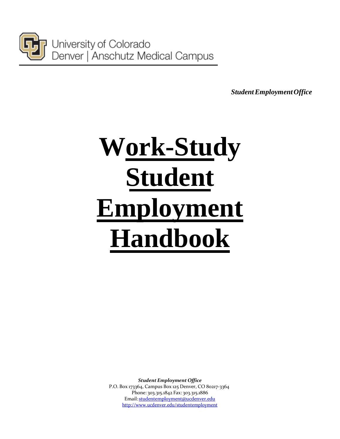

University of Colorado Denver | Anschutz Medical Campus

*StudentEmploymentOffice*

# **Work-Study Student Employment Handbook**

*Student Employment Office* P.O. Box 173364, Campus Box 125 Denver, CO 80217-3364 Phone: 303.315.1842 Fax: 303.315.1886 Email: [studentemployment@ucdenver.edu](mailto:studentemployment@ucdenver.edu) [http://www.ucdenver.edu/studentemployment](http://www.ucdenver.edu/student-services/resources/CostsAndFinancing/FASO/Do/StudentEmployment/Pages/StudentEmployment.aspx)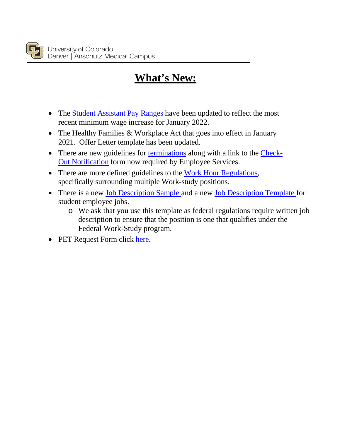# **What's New:**

- The [Student Assistant Pay Ranges](#page-44-0) have been updated to reflect the most recent minimum wage increase for January 2022.
- The Healthy Families & Workplace Act that goes into effect in January 2021. Offer Letter template has been updated.
- There are new guidelines for [terminations](#page-28-0) along with a link to the [Check-](#page-28-1)[Out Notification](#page-28-1) form now required by Employee Services.
- There are more defined guidelines to the [Work Hour Regulations,](#page-7-0) specifically surrounding multiple Work-study positions.
- There is a new [Job Description Sample](http://www.ucdenver.edu/student-services/resources/CostsAndFinancing/FASO/Do/StudentEmployment/Documents/Job%20Description%20Sample%20Template.pdf) and a new [Job Description Template](#page-45-0) for student employee jobs.
	- o We ask that you use this template as federal regulations require written job description to ensure that the position is one that qualifies under the Federal Work-Study program.
- PET Request Form click [here.](http://spauthor.oit.ucdenver.edu/student-services/resources/CostsAndFinancing/FASO/Do/StudentEmployment/Documents/UCD%20WS%20PET%20Request%20Form%20(fillable%20PDF).pdf)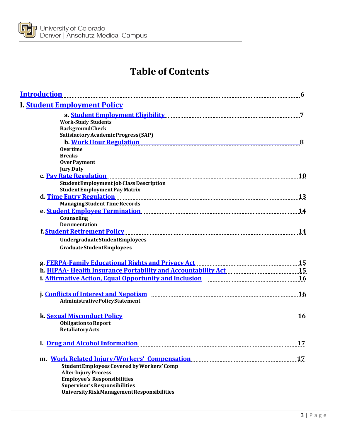

# **Table of Contents**

| <b>Introduction</b>                                                                                                |           |
|--------------------------------------------------------------------------------------------------------------------|-----------|
| I. Student Employment Policy                                                                                       |           |
|                                                                                                                    | 7         |
| <b>Work-Study Students</b>                                                                                         |           |
| <b>BackgroundCheck</b>                                                                                             |           |
| Satisfactory Academic Progress (SAP)                                                                               |           |
| <b>b. Work Hour Regulation</b>                                                                                     | 8         |
| <b>Overtime</b>                                                                                                    |           |
| <b>Breaks</b>                                                                                                      |           |
| <b>OverPayment</b>                                                                                                 |           |
| <b>Jury Duty</b>                                                                                                   |           |
| c. Pay Rate Regulation                                                                                             | 10        |
| Student Employment Job Class Description                                                                           |           |
| <b>StudentEmployment Pay Matrix</b>                                                                                |           |
| d. Time Entry Regulation Manuscrittic Australian Manuscritti and Time Entry Regulation Manuscritti and Talent      |           |
| <b>Managing Student Time Records</b>                                                                               |           |
| e. Student Employee Termination [14] The Student Employee Termination [14] The Management Control of the Student   |           |
| Counseling<br><b>Documentation</b>                                                                                 |           |
| f. Student Retirement Policy [11] Allen Manusch Contract Policy [11] Allen Manusch Manusch Manusch Manusch Manusch | 14        |
|                                                                                                                    |           |
| UndergraduateStudentEmployees                                                                                      |           |
| <b>Graduate Student Employees</b>                                                                                  |           |
|                                                                                                                    |           |
|                                                                                                                    |           |
| i. Affirmative Action, Equal Opportunity and Inclusion manufacture and 16                                          |           |
|                                                                                                                    |           |
|                                                                                                                    | <b>16</b> |
| <b>AdministrativePolicyStatement</b>                                                                               |           |
| k. Sexual Misconduct Policy                                                                                        | 16        |
| <b>Obligation to Report</b>                                                                                        |           |
| <b>Retaliatory Acts</b>                                                                                            |           |
|                                                                                                                    |           |
| 1. Drug and Alcohol Information <b>Entitled Structure 10</b> and Alcohol Information <b>Mustum Constructure 10</b> | 17        |
| m. Work Related Injury/Workers' Compensation manufactured and the North Related Injury/Workers' Compensation       | 17        |
| Student Employees Covered by Workers' Comp                                                                         |           |
| <b>After Injury Process</b>                                                                                        |           |
| <b>Employee's Responsibilities</b>                                                                                 |           |
| <b>Supervisor's Responsibilities</b>                                                                               |           |
| University Risk Management Responsibilities                                                                        |           |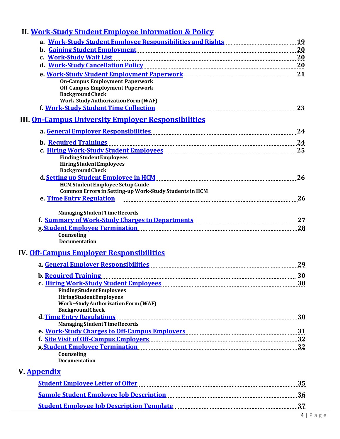# <span id="page-3-0"></span>**II. Work-Study Student Employee [Information](#page-19-0) & Policy**

<span id="page-3-1"></span>

| a. Work-Study Student Employee Responsibilities and Rights [19] Nork-Study Student Employee Responsibilities and Rights [19] $19$                                                                                                   |          |
|-------------------------------------------------------------------------------------------------------------------------------------------------------------------------------------------------------------------------------------|----------|
| b. Gaining Student Employment Manuscritter and Talent and Talent and Talent and Talent and Talent and Talent and Talent and Talent and Talent and Talent and Talent and Talent and Talent and Talent and Talent and Talent and      |          |
| c. Work-Study Wait List                                                                                                                                                                                                             |          |
| d. Work-Study Cancellation Policy [11] Allen Manusconsing and Marian 20                                                                                                                                                             |          |
| e. Work-Study Student Employment Paperwork [11] Marshall Mork-Study Student Employment Paperwork<br><b>On-Campus Employment Paperwork</b><br><b>Off-Campus Employment Paperwork</b><br><b>BackgroundCheck</b>                       |          |
| <b>Work-Study Authorization Form (WAF)</b>                                                                                                                                                                                          | 23       |
| <b>III. On-Campus University Employer Responsibilities</b>                                                                                                                                                                          |          |
|                                                                                                                                                                                                                                     | 24       |
|                                                                                                                                                                                                                                     |          |
| <b>b.</b> Required Trainings                                                                                                                                                                                                        |          |
| <b>FindingStudentEmployees</b><br><b>HiringStudentEmployees</b><br><b>BackgroundCheck</b>                                                                                                                                           |          |
|                                                                                                                                                                                                                                     | 26       |
| <b>HCM Student Employee Setup Guide</b><br>Common Errors in Setting-up Work-Study Students in HCM                                                                                                                                   |          |
| e. Time Entry Regulation                                                                                                                                                                                                            | 26       |
| <b>Managing Student Time Records</b><br>f. Summary of Work-Study Charges to Departments [111] [12] [12] [25] [27] [27] [12] [27] [12] [27] [12] [27] [                                                                              |          |
|                                                                                                                                                                                                                                     | 28       |
| Counseling<br><b>Documentation</b><br><b>IV. <u>Off-Campus Emplover Responsibilities</u></b>                                                                                                                                        |          |
|                                                                                                                                                                                                                                     |          |
|                                                                                                                                                                                                                                     |          |
| <b>b.</b> Required Training                                                                                                                                                                                                         | 30<br>30 |
| <b>FindingStudentEmployees</b><br><b>HiringStudentEmployees</b><br><b>Work-Study Authorization Form (WAF)</b><br><b>BackgroundCheck</b>                                                                                             |          |
| d. Time Entry Regulations<br><b>Managing Student Time Records</b>                                                                                                                                                                   |          |
| e. Work-Study Charges to Off-Campus Employers [11] [12] North Marson and Marian Marian Marson and Maria Maria                                                                                                                       |          |
| f. Site Visit of Off-Campus Employers [11] 1224 [12] 1324. [13] 1324. [13] 1324. [13] 1324. [13] 132                                                                                                                                |          |
| g.Student Employee Termination Manual Communication and 32<br>Counseling<br><b>Documentation</b>                                                                                                                                    |          |
| V. <u>Appendix</u>                                                                                                                                                                                                                  |          |
| <u>Student Employee Letter of Offer</u> [1993] [1994] [1995] [1995] [1995] [1996] [1995] [1996] [1996] [1996] [1996] [1996] [1996] [1996] [1996] [1996] [1996] [1996] [1996] [1996] [1996] [1996] [1996] [1996] [1996] [1996] [1996 |          |
|                                                                                                                                                                                                                                     |          |

**Sample [Student Employee Job](#page-35-0) Description 36**

**Student Employee [Job Description Template](#page-38-0) 37**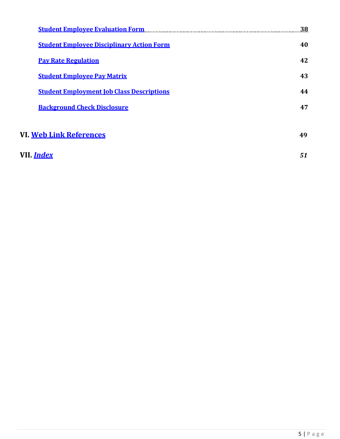| <b>Student Employee Evaluation Form</b>          | 38 |
|--------------------------------------------------|----|
| <b>Student Employee Disciplinary Action Form</b> | 40 |
| <b>Pay Rate Regulation</b>                       | 42 |
| <b>Student Employee Pay Matrix</b>               | 43 |
| <b>Student Employment Job Class Descriptions</b> | 44 |
| <b>Background Check Disclosure</b>               | 47 |
|                                                  |    |
| VI. <u>Web Link References</u>                   | 49 |
|                                                  |    |

| VII <i>Index</i> |  |
|------------------|--|
|                  |  |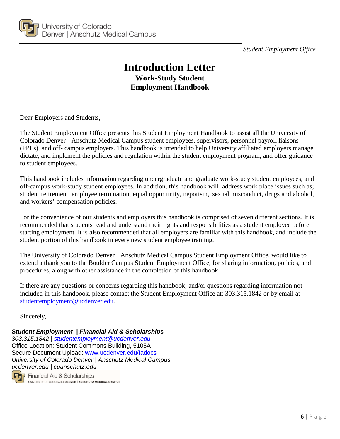<span id="page-5-0"></span>

*Student Employment Office*

# **Introduction Letter Work-Study Student Employment Handbook**

Dear Employers and Students,

The Student Employment Office presents this Student Employment Handbook to assist all the University of Colorado Denver │Anschutz Medical Campus student employees, supervisors, personnel payroll liaisons (PPLs), and off- campus employers. This handbook is intended to help University affiliated employers manage, dictate, and implement the policies and regulation within the student employment program, and offer guidance to student employees.

This handbook includes information regarding undergraduate and graduate work-study student employees, and off-campus work-study student employees. In addition, this handbook will address work place issues such as; student retirement, employee termination, equal opportunity, nepotism, sexual misconduct, drugs and alcohol, and workers' compensation policies.

For the convenience of our students and employers this handbook is comprised of seven different sections. It is recommended that students read and understand their rights and responsibilities as a student employee before starting employment. It is also recommended that all employers are familiar with this handbook, and include the student portion of this handbook in every new student employee training.

The University of Colorado Denver │Anschutz Medical Campus Student Employment Office, would like to extend a thank you to the Boulder Campus Student Employment Office, for sharing information, policies, and procedures, along with other assistance in the completion of this handbook.

If there are any questions or concerns regarding this handbook, and/or questions regarding information not included in this handbook, please contact the Student Employment Office at: 303.315.1842 or by email at [studentemployment@ucdenver.edu.](mailto:studentemployment@ucdenver.edu)

Sincerely,

*Student Employment | Financial Aid & Scholarships 303.315.1842 | [studentemployment@ucdenver.edu](mailto:studentemployment@ucdenver.edu)* Office Location: Student Commons Building, 5105A Secure Document Upload: [www.ucdenver.edu/fadocs](http://www.ucdenver.edu/fadocs) *University of Colorado Denver | Anschutz Medical Campus ucdenver.edu | cuanschutz.edu*

Œ Financial Aid & Scholarships UNIVERSITY OF COLORADO DENVER | ANSCHUTZ MEDICAL CAMPUS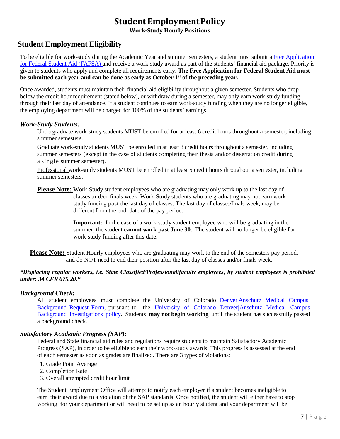# **Student EmploymentPolicy**

**Work-Study Hourly Positions**

# <span id="page-6-1"></span><span id="page-6-0"></span>**Student Employment Eligibility**

To be eligible for work-study during the Academic Year and summer semesters, a student must submit a Free [Application](https://studentaid.gov/h/apply-for-aid/fafsa) for Federal Student Aid [\(FAFSA\) a](http://www.fafsa.ed.gov/)nd receive a work-study award as part of the students' financial aid package. Priority is given to students who apply and complete all requirements early. **The Free Application for Federal Student Aid must be submitted each year and can be done as early as October 1st of the preceding year.**

Once awarded, students must maintain their financial aid eligibility throughout a given semester. Students who drop below the credit hour requirement (stated below), or withdraw during a semester, may only earn work-study funding through their last day of attendance. If a student continues to earn work-study funding when they are no longer eligible, the employing department will be charged for 100% of the students' earnings.

#### *Work-Study Students:*

Undergraduate work-study students MUST be enrolled for at least 6 credit hours throughout a semester, including summer semesters.

Graduate work-study students MUST be enrolled in at least 3 credit hours throughout a semester, including summer semesters (except in the case of students completing their thesis and/or dissertation credit during a single summer semester).

Professional work-study students MUST be enrolled in at least 5 credit hours throughout a semester, including summer semesters.

**Please Note:** Work-Study student employees who are graduating may only work up to the last day of classes and/or finals week. Work-Study students who are graduating may not earn workstudy funding past the last day of classes. The last day of classes/finals week, may be different from the end date of the pay period.

> **Important:** In the case of a work-study student employee who will be graduating in the summer, the student **cannot work past June 30.** The student will no longer be eligible for work-study funding after this date.

**Please Note:** Student Hourly employees who are graduating may work to the end of the semesters pay period, and do NOT need to end their position after the last day of classes and/or finals week.

#### *\*Displacing regular workers, i.e. State Classified/Professional/faculty employees, by student employees is prohibited under: 34 CFR 675.20.\**

#### *Background Check:*

All student employees must complete the University of Colorado [Denver|Anschutz Medical Campus](https://forms.ucdenver.edu/secure/background_check_request) [Background](https://forms.ucdenver.edu/secure/background_check_request) Request Form, pursuant to the [University](http://www.ucdenver.edu/about/departments/HR/Documents/BackgroundInvestigationsPolicy.pdf) of Colorado Denver|Anschutz Medical Campus Background [Investigations](https://www.cu.edu/ope/aps/5050) policy. Students **may not begin working** until the student has successfully passed a background check.

#### *Satisfactory Academic Progress (SAP):*

Federal and State financial aid rules and regulations require students to maintain Satisfactory Academic Progress (SAP), in order to be eligible to earn their work-study awards. This progress is assessed at the end of each semester as soon as grades are finalized. There are 3 types of violations:

- 1. Grade Point Average
- 2. Completion Rate
- 3. Overall attempted credit hour limit

The Student Employment Office will attempt to notify each employer if a student becomes ineligible to earn their award due to a violation of the SAP standards. Once notified, the student will either have to stop working for your department or will need to be set up as an hourly student and your department will be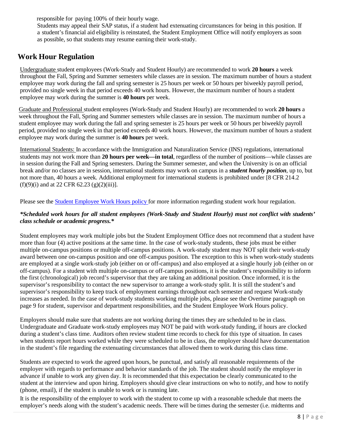responsible for paying 100% of their hourly wage.

Students may appeal their SAP status, if a student had extenuating circumstances for being in this position. If a student's financial aid eligibility is reinstated, the Student Employment Office will notify employers as soon as possible, so that students may resume earning their work-study.

# <span id="page-7-0"></span>**Work Hour Regulation**

Undergraduate student employees (Work-Study and Student Hourly) are recommended to work **20 hours** a week throughout the Fall, Spring and Summer semesters while classes are in session. The maximum number of hours a student employee may work during the fall and spring semester is 25 hours per week or 50 hours per biweekly payroll period, provided no single week in that period exceeds 40 work hours. However, the maximum number of hours a student employee may work during the summer is **40 hours** per week.

Graduate and Professional student employees (Work-Study and Student Hourly) are recommended to work **20 hours** a week throughout the Fall, Spring and Summer semesters while classes are in session. The maximum number of hours a student employee may work during the fall and spring semester is 25 hours per week or 50 hours per biweekly payroll period, provided no single week in that period exceeds 40 work hours. However, the maximum number of hours a student employee may work during the summer is **40 hours** per week.

International Students: In accordance with the Immigration and Naturalization Service (INS) regulations, international students may not work more than **20 hours per week—in total**, regardless of the number of positions—while classes are in session during the Fall and Spring semesters. During the Summer semester, and when the University is on an official break and/or no classes are in session, international students may work on campus in a *student hourly position*, up to, but not more than, 40 hours a week. Additional employment for international students is prohibited under [8 CFR 214.2  $(f)(9)(i)$  and at 22 CFR 62.23 (g)(2)(iii)].

Please see the Student [Employee](http://www.ucdenver.edu/about/departments/HR/HRPoliciesGuidelines/Documents/StudentWorkHoursPolicy.pdf) Work Hours policy for more information regarding student work hour regulation.

#### \*Scheduled work hours for all student employees (Work-Study and Student Hourly) must not conflict with students' *class schedule or academic progress.\**

Student employees may work multiple jobs but the Student Employment Office does not recommend that a student have more than four (4) active positions at the same time. In the case of work-study students, these jobs must be either multiple on-campus positions or multiple off-campus positions. A work-study student may NOT split their work-study award between one on-campus position and one off-campus position. The exception to this is when work-study students are employed at a single work-study job (either on or off-campus) and also employed at a single hourly job (either on or off-campus). For a student with multiple on-campus or off-campus positions, it is the student's responsibility to inform the first (chronological) job record's supervisor that they are taking an additional position. Once informed, it is the supervisor's responsibility to contact the new supervisor to arrange a work-study split. It is still the student's and supervisor's responsibility to keep track of employment earnings throughout each semester and request Work-study increases as needed. In the case of work-study students working multiple jobs, please see the Overtime paragraph on page 9 for student, supervisor and department responsibilities, and the [Student Employee Work Hours policy.](http://www.ucdenver.edu/about/departments/HR/HRPoliciesGuidelines/Documents/StudentWorkHoursPolicy.pdf)

Employers should make sure that students are not working during the times they are scheduled to be in class. Undergraduate and Graduate work-study employees may NOT be paid with work-study funding, if hours are clocked during a student's class time. Auditors often review student time records to check for this type of situation. In cases when students report hours worked while they were scheduled to be in class, the employer should have documentation in the student's file regarding the extenuating circumstances that allowed them to work during this class time.

Students are expected to work the agreed upon hours, be punctual, and satisfy all reasonable requirements of the employer with regards to performance and behavior standards of the job. The student should notify the employer in advance if unable to work any given day. It is recommended that this expectation be clearly communicated to the student at the interview and upon hiring. Employers should give clear instructions on who to notify, and how to notify (phone, email), if the student is unable to work or is running late.

It is the responsibility of the employer to work with the student to come up with a reasonable schedule that meets the employer's needs along with the student's academic needs. There will be times during the semester (i.e. midterms and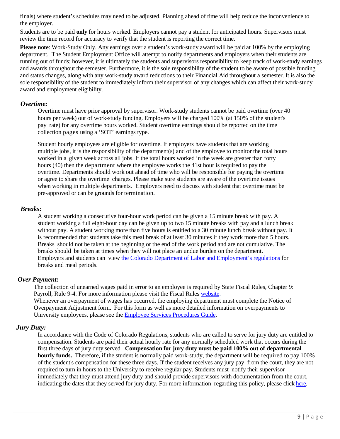finals) where student's schedules may need to be adjusted. Planning ahead of time will help reduce the inconvenience to the employer.

Students are to be paid **only** for hours worked. Employers cannot pay a student for anticipated hours. Supervisors must review the time record for accuracy to verify that the student is reporting the correct time.

**Please note**: Work-Study Only. Any earnings over a student's work-study award will be paid at 100% by the employing department. The Student Employment Office will attempt to notify departments and employers when their students are running out of funds; however, it is ultimately the students and supervisors responsibility to keep track of work-study earnings and awards throughout the semester. Furthermore, it is the sole responsibility of the student to be aware of possible funding and status changes, along with any work-study award reductions to their Financial Aid throughout a semester. It is also the sole responsibility of the student to immediately inform their supervisor of any changes which can affect their work-study award and employment eligibility.

#### *Overtime:*

Overtime must have prior approval by supervisor. Work-study students cannot be paid overtime (over 40 hours per week) out of work-study funding. Employers will be charged 100% (at 150% of the student's pay rate) for any overtime hours worked. Student overtime earnings should be reported on the time collection pages using a 'SOT' earnings type.

Student hourly employees are eligible for overtime. If employers have students that are working multiple jobs, it is the responsibility of the department(s) and of the employee to monitor the total hours worked in a given week across all jobs. If the total hours worked in the week are greater than forty hours (40) then the department where the employee works the 41st hour is required to pay the overtime. Departments should work out ahead of time who will be responsible for paying the overtime or agree to share the overtime charges. Please make sure students are aware of the overtime issues when working in multiple departments. Employers need to discuss with student that overtime must be pre-approved or can be grounds for termination.

#### *Breaks:*

A student working a consecutive four-hour work period can be given a 15 minute break with pay. A student working a full eight-hour day can be given up to two 15 minute breaks with pay and a lunch break without pay. A student working more than five hours is entitled to a 30 minute lunch break without pay. It is recommended that students take this meal break of at least 30 minutes if they work more than 5 hours. Breaks should not be taken at the beginning or the end of the work period and are not cumulative. The breaks should be taken at times when they will not place an undue burden on the department. Employers and students can view the Colorado Department of Labor and [Employment's](https://cdle.colorado.gov/laws-regulations-guidance) regulations for breaks and meal periods.

#### *Over Payment:*

The collection of unearned wages paid in error to an employee is required by State Fiscal Rules, Chapter 9: Payroll, Rule 9-4. For more information please visit the Fiscal Rules [website.](https://www.colorado.gov/pacific/osc/fiscalrules) Whenever an overpayment of wages has occurred, the employing department must complete the Notice of Overpayment Adjustment form. For this form as well as more detailed information on overpayments to University employees, please see the [Employee Services Procedures](https://www.cu.edu/employee-services/docs?text=overpayment) Guide.

#### <span id="page-8-0"></span>*Jury Duty:*

In accordance with the Code of Colorado Regulations, students who are called to serve for jury duty are entitled to compensation. Students are paid their actual hourly rate for any normally scheduled work that occurs during the first three days of jury duty served. **Compensation for jury duty must be paid 100% out of departmental hourly funds.** Therefore, if the student is normally paid work-study, the department will be required to pay 100% of the student's compensation for these three days. If the student receives any jury pay from the court, they are not required to turn in hours to the University to receive regular pay. Students must notify their supervisor immediately that they must attend jury duty and should provide supervisors with documentation from the court, indicating the dates that they served for jury duty. For more information regarding this policy, please click [here.](https://www.cu.edu/employee-services/collaborative-hr-services/cu-system-administration/employee-resources/jury-leave)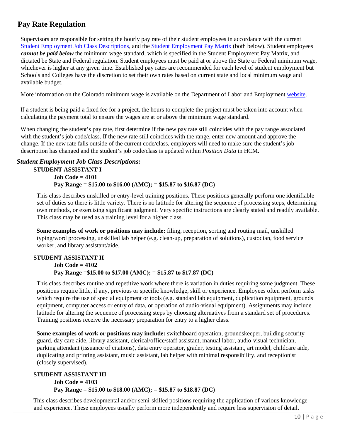# **Pay Rate Regulation**

Supervisors are responsible for setting the hourly pay rate of their student employees in accordance with the current [Student Employment](#page-45-0) Job Class Descriptions, and the Student [Employment](#page-44-0) Pay Matrix (both below). Student employees *cannot be paid below* the minimum wage standard, which is specified in the Student Employment Pay Matrix, and dictated be State and Federal regulation. Student employees must be paid at or above the State or Federal minimum wage, whichever is higher at any given time. Established pay rates are recommended for each level of student employment but Schools and Colleges have the discretion to set their own rates based on current state and local minimum wage and available budget.

<span id="page-9-0"></span>More information on the Colorado minimum wage is available on the Department of Labor and Employment [website.](https://cdle.colorado.gov/)

If a student is being paid a fixed fee for a project, the hours to complete the project must be taken into account when calculating the payment total to ensure the wages are at or above the minimum wage standard.

When changing the student's pay rate, first determine if the new pay rate still coincides with the pay range associated with the student's job code/class. If the new rate still coincides with the range, enter new amount and approve the change. If the new rate falls outside of the current code/class, employers will need to make sure the student's job description has changed and the student's job code/class is updated within *Position Data* in HCM.

#### *Student Employment Job Class Descriptions:*

#### **STUDENT ASSISTANT I Job Code = 4101 Pay Range = \$15.00 to \$16.00 (AMC); = \$15.87 to \$16.87 (DC)**

This class describes unskilled or entry-level training positions. These positions generally perform one identifiable set of duties so there is little variety. There is no latitude for altering the sequence of processing steps, determining own methods, or exercising significant judgment. Very specific instructions are clearly stated and readily available. This class may be used as a training level for a higher class.

**Some examples of work or positions may include:** filing, reception, sorting and routing mail, unskilled typing/word processing, unskilled lab helper (e.g. clean-up, preparation of solutions), custodian, food service worker, and library assistant/aide.

#### **STUDENT ASSISTANT II Job Code = 4102 Pay Range =\$15.00 to \$17.00 (AMC); = \$15.87 to \$17.87 (DC)**

This class describes routine and repetitive work where there is variation in duties requiring some judgment. These positions require little, if any, previous or specific knowledge, skill or experience. Employees often perform tasks which require the use of special equipment or tools (e.g. standard lab equipment, duplication equipment, grounds equipment, computer access or entry of data, or operation of audio-visual equipment). Assignments may include latitude for altering the sequence of processing steps by choosing alternatives from a standard set of procedures. Training positions receive the necessary preparation for entry to a higher class.

**Some examples of work or positions may include:** switchboard operation, groundskeeper, building security guard, day care aide, library assistant, clerical/office/staff assistant, manual labor, audio-visual technician, parking attendant (issuance of citations), data entry operator, grader, testing assistant, art model, childcare aide, duplicating and printing assistant, music assistant, lab helper with minimal responsibility, and receptionist (closely supervised).

#### **STUDENT ASSISTANT III Job Code = 4103 Pay Range = \$15.00 to \$18.00 (AMC); = \$15.87 to \$18.87 (DC)**

This class describes developmental and/or semi-skilled positions requiring the application of various knowledge and experience. These employees usually perform more independently and require less supervision of detail.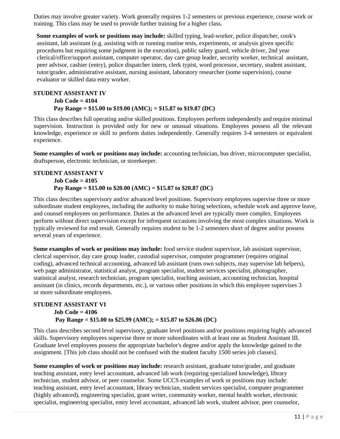Duties may involve greater variety. Work generally requires 1-2 semesters or previous experience, course work or training. This class may be used to provide further training for a higher class.

**Some examples of work or positions may include:** skilled typing, lead-worker, police dispatcher, cook's assistant, lab assistant (e.g. assisting with or running routine tests, experiments, or analysis given specific procedures but requiring some judgment in the execution), public safety guard, vehicle driver, 2nd year clerical/office/support assistant, computer operator, day care group leader, security worker, technical assistant, peer advisor, cashier (entry), police dispatcher intern, clerk typist, word processor, secretary, student assistant, tutor/grader, administrative assistant, nursing assistant, laboratory researcher (some supervision), course evaluator or skilled data entry worker.

#### **STUDENT ASSISTANT IV Job Code = 4104 Pay Range = \$15.00 to \$19.00 (AMC); = \$15.87 to \$19.87 (DC)**

This class describes full operating and/or skilled positions. Employees perform independently and require minimal supervision. Instruction is provided only for new or unusual situations. Employees possess all the relevant knowledge, experience or skill to perform duties independently. Generally requires 3-4 semesters or equivalent experience.

**Some examples of work or positions may include:** accounting technician, bus driver, microcomputer specialist, draftsperson, electronic technician, or storekeeper.

#### **STUDENT ASSISTANT V Job Code = 4105 Pay Range = \$15.00 to \$20.00 (AMC) = \$15.87 to \$20.87 (DC)**

This class describes supervisory and/or advanced level positions. Supervisory employees supervise three or more subordinate student employees, including the authority to make hiring selections, schedule work and approve leave, and counsel employees on performance. Duties at the advanced level are typically more complex. Employees perform without direct supervision except for infrequent occasions involving the most complex situations. Work is typically reviewed for end result. Generally requires student to be 1-2 semesters short of degree and/or possess several years of experience.

**Some examples of work or positions may include:** food service student supervisor, lab assistant supervisor, clerical supervisor, day care group leader, custodial supervisor, computer programmer (requires original coding), advanced technical accounting, advanced lab assistant (runs own subjects, may supervise lab helpers), web page administrator, statistical analyst, program specialist, student services specialist, photographer, statistical analyst, research technician, program specialist, teaching assistant, accounting technician, hospital assistant (in clinics, records departments, etc.), or various other positions in which this employee supervises 3 or more subordinate employees.

#### **STUDENT ASSISTANT VI Job Code = 4106 Pay Range = \$15.00 to \$25.99 (AMC); = \$15.87 to \$26.86 (DC)**

This class describes second level supervisory, graduate level positions and/or positions requiring highly advanced skills. Supervisory employees supervise three or more subordinates with at least one as Student Assistant III. Graduate level employees possess the appropriate bachelor's degree and/or apply the knowledge gained to the assignment. [This job class should not be confused with the student faculty 1500 series job classes].

**Some examples of work or positions may include:** research assistant, graduate tutor/grader, and graduate teaching assistant, entry level accountant, advanced lab work (requiring specialized knowledge), library technician, student advisor, or peer counselor. Some UCCS examples of work or positions may include: teaching assistant, entry level accountant, library technician, student services specialist, computer programmer (highly advanced), engineering specialist, grant writer, community worker, mental health worker, electronic specialist, engineering specialist, entry level accountant, advanced lab work, student advisor, peer counselor,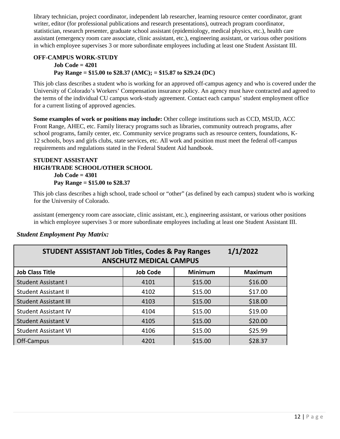library technician, project coordinator, independent lab researcher, learning resource center coordinator, grant writer, editor (for professional publications and research presentations), outreach program coordinator, statistician, research presenter, graduate school assistant (epidemiology, medical physics, etc.), health care assistant (emergency room care associate, clinic assistant, etc.), engineering assistant, or various other positions in which employee supervises 3 or more subordinate employees including at least one Student Assistant III.

#### **OFF-CAMPUS WORK-STUDY Job Code = 4201 Pay Range = \$15.00 to \$28.37 (AMC); = \$15.87 to \$29.24 (DC)**

This job class describes a student who is working for an approved off-campus agency and who is covered under the University of Colorado's Workers' Compensation insurance policy. An agency must have contracted and agreed to the terms of the individual CU campus work-study agreement. Contact each campus' student employment office for a current listing of approved agencies.

Some examples of work or positions may include: Other college institutions such as CCD, MSUD, ACC Front Range, AHEC, etc. Family literacy programs such as libraries, community outreach programs, after school programs, family center, etc. Community service programs such as resource centers, foundations, K-12 schools, boys and girls clubs, state services, etc. All work and position must meet the federal off-campus requirements and regulations stated in the Federal Student Aid handbook.

#### **STUDENT ASSISTANT HIGH/TRADE SCHOOL/OTHER SCHOOL Job Code = 4301 Pay Range = \$15.00 to \$28.37**

This job class describes a high school, trade school or "other" (as defined by each campus) student who is working for the University of Colorado.

assistant (emergency room care associate, clinic assistant, etc.), engineering assistant, or various other positions in which employee supervises 3 or more subordinate employees including at least one Student Assistant III.

| 1/1/2022<br><b>STUDENT ASSISTANT Job Titles, Codes &amp; Pay Ranges</b><br><b>ANSCHUTZ MEDICAL CAMPUS</b> |      |         |         |  |  |  |
|-----------------------------------------------------------------------------------------------------------|------|---------|---------|--|--|--|
| <b>Minimum</b><br><b>Job Class Title</b><br><b>Job Code</b><br><b>Maximum</b>                             |      |         |         |  |  |  |
| <b>Student Assistant I</b>                                                                                | 4101 | \$15.00 | \$16.00 |  |  |  |
| <b>Student Assistant II</b>                                                                               | 4102 | \$15.00 | \$17.00 |  |  |  |
| <b>Student Assistant III</b>                                                                              | 4103 | \$15.00 | \$18.00 |  |  |  |
| <b>Student Assistant IV</b>                                                                               | 4104 | \$15.00 | \$19.00 |  |  |  |
| <b>Student Assistant V</b>                                                                                | 4105 | \$15.00 | \$20.00 |  |  |  |
| <b>Student Assistant VI</b>                                                                               | 4106 | \$15.00 | \$25.99 |  |  |  |
| Off-Campus                                                                                                | 4201 | \$15.00 | \$28.37 |  |  |  |

## *Student Employment Pay Matrix:*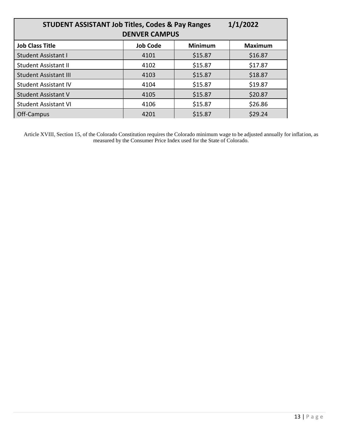| 1/1/2022<br><b>STUDENT ASSISTANT Job Titles, Codes &amp; Pay Ranges</b><br><b>DENVER CAMPUS</b> |      |         |         |  |  |  |
|-------------------------------------------------------------------------------------------------|------|---------|---------|--|--|--|
| <b>Job Class Title</b><br><b>Job Code</b><br><b>Minimum</b><br><b>Maximum</b>                   |      |         |         |  |  |  |
| <b>Student Assistant I</b>                                                                      | 4101 | \$15.87 | \$16.87 |  |  |  |
| <b>Student Assistant II</b>                                                                     | 4102 | \$15.87 | \$17.87 |  |  |  |
| <b>Student Assistant III</b>                                                                    | 4103 | \$15.87 | \$18.87 |  |  |  |
| <b>Student Assistant IV</b>                                                                     | 4104 | \$15.87 | \$19.87 |  |  |  |
| <b>Student Assistant V</b>                                                                      | 4105 | \$15.87 | \$20.87 |  |  |  |
| <b>Student Assistant VI</b>                                                                     | 4106 | \$15.87 | \$26.86 |  |  |  |
| Off-Campus                                                                                      | 4201 | \$15.87 | \$29.24 |  |  |  |

Article XVIII, Section 15, of the Colorado Constitution requires the Colorado minimum wage to be adjusted annually for inflation, as measured by the Consumer Price Index used for the State of Colorado.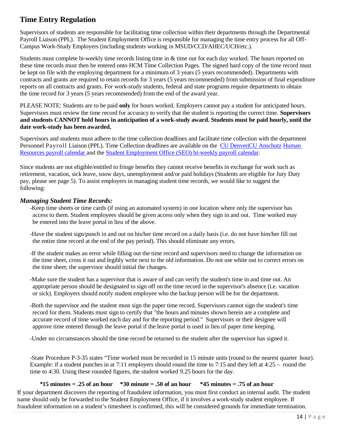# <span id="page-13-0"></span>**Time Entry Regulation**

Supervisors of students are responsible for facilitating time collection within their departments through the Departmental Payroll Liaison (PPL). The Student Employment Office is responsible for managing the time entry process for all Off-Campus Work-Study Employers (including students working in MSUD/CCD/AHEC/UCH/etc.).

Students must complete bi-weekly time records listing time in & time out for each day worked. The hours reported on these time records must then be entered onto HCM Time Collection Pages. The signed hard copy of the time record must be kept on file with the employing department for a minimum of 3 years (5 years recommended). Departments with contracts and grants are required to retain records for 3 years (5 years recommended) from submission of final expenditure reports on all contracts and grants. For work-study students, federal and state programs require departments to obtain the time record for 3 years (5 years recommended) from the end of the award year.

PLEASE NOTE: Students are to be paid **only** for hours worked. Employers cannot pay a student for anticipated hours. Supervisors must review the time record for accuracy to verify that the student is reporting the correct time. **Supervisors and students CANNOT hold hours in anticipation of a work-study award. Students must be paid hourly, until the date work-study has been awarded.**

Supervisors and students must adhere to the time collection deadlines and facilitate time collection with the department Personnel Payroll Liaison (PPL). Time Collection deadlines are available on the CU [Denver|CU](https://www.cu.edu/hcm-community/pay-employees/payroll-production-calendars) Anschutz [Human](https://www.cu.edu/hcm-community/pay-employees/payroll-production-calendars) [Resources](https://www.cu.edu/hcm-community/pay-employees/payroll-production-calendars) payroll calendar and the [Student Employment Office \(SEO\) bi-weekly payroll calendar.](http://www.ucdenver.edu/student-services/resources/CostsAndFinancing/FASO/Do/StudentEmployment/Documents/2019-2020/2019-2020%20Student%20Employment%20Bi-Weekly%20Payroll%20Calendar.pdf)

Since students are not eligible/entitled to fringe benefits they cannot receive benefits in exchange for work such as retirement, vacation, sick leave, snow days, unemployment and/or paid holidays (Students are eligible for Jury Duty pay, please see page 5). To assist employers in managing student time records, we would like to suggest the following:

#### *Managing Student Time Records:*

-Keep time sheets or time cards (if using an automated system) in one location where only the supervisor has access to them. Student employees should be given access only when they sign in and out. Time worked may be entered into the leave portal in lieu of the above.

- -Have the student sign/punch in and out on his/her time record on a daily basis (i.e. do not have him/her fill out the entire time record at the end of the pay period). This should eliminate any errors.
- -If the student makes an error while filling out the time record and supervisors need to change the information on the time sheet, cross it out and legibly write next to the old information. Do not use white out to correct errors on the time sheet; the supervisor should initial the changes.
- -Make sure the student has a supervisor that is aware of and can verify the student's time in and time out. An appropriate person should be designated to sign off on the time record in the supervisor's absence (i.e. vacation or sick). Employers should notify student employee who the backup person will be for the department.
- -Both the supervisor and the student must sign the paper time record. Supervisors cannot sign the student's time record for them. Students must sign to certify that "the hours and minutes shown herein are a complete and accurate record of time worked each day and for the reporting period." Supervisors or their designee will approve time entered through the leave portal if the leave portal is used in lieu of paper time keeping.

-Under no circumstances should the time record be returned to the student after the supervisor has signed it.

-State Procedure P-3-35 states "Time worked must be recorded in 15 minute units (round to the nearest quarter hour). Example: if a student punches in at 7:11 employers should round the time to 7:15 and they left at 4:25 – round the time to 4:30. Using these rounded figures, the student worked 9.25 hours for the day.

#### **\*15 minutes = .25 of an hour \*30 minute = .50 of an hour \*45 minutes = .75 of an hour**

If your department discovers the reporting of fraudulent information, you must first conduct an internal audit. The student name should only be forwarded to the Student Employment Office, if it involves a work-study student employee. If fraudulent information on a student's timesheet is confirmed, this will be considered grounds for immediate termination.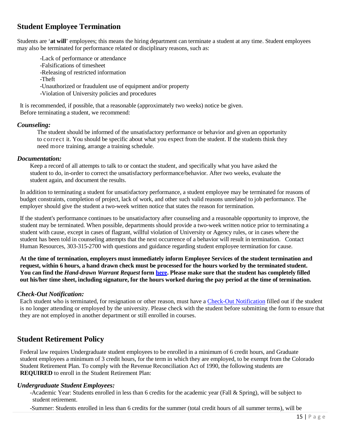# <span id="page-14-0"></span>**Student Employee Termination**

Students are '**at will**' employees; this means the hiring department can terminate a student at any time. Student employees may also be terminated for performance related or disciplinary reasons, such as:

-Lack of performance or attendance -Falsifications of timesheet -Releasing of restricted information -Theft -Unauthorized or fraudulent use of equipment and/or property -Violation of University policies and procedures

It is recommended, if possible, that a reasonable (approximately two weeks) notice be given. Before terminating a student, we recommend:

#### *Counseling:*

The student should be informed of the unsatisfactory performance or behavior and given an opportunity to correct it. You should be specific about what you expect from the student. If the students think they need more training, arrange a training schedule.

#### *Documentation:*

Keep a record of all attempts to talk to or contact the student, and specifically what you have asked the student to do, in-order to correct the unsatisfactory performance/behavior. After two weeks, evaluate the student again, and document the results.

In addition to terminating a student for unsatisfactory performance, a student employee may be terminated for reasons of budget constraints, completion of project, lack of work, and other such valid reasons unrelated to job performance. The employer should give the student a two-week written notice that states the reason for termination.

If the student's performance continues to be unsatisfactory after counseling and a reasonable opportunity to improve, the student may be terminated. When possible, departments should provide a two-week written notice prior to terminating a student with cause, except in cases of flagrant, willful violation of University or Agency rules, or in cases where the student has been told in counseling attempts that the next occurrence of a behavior will result in termination. Contact Human Resources, 303-315-2700 with questions and guidance regarding student employee termination for cause.

**At the time of termination, employers must immediately inform Employee Services of the student termination and**  request, within 6 hours, a hand drawn check must be processed for the hours worked by the terminated student. You can find the *[Hand-drawn](https://www.cu.edu/sites/default/files/policies/docs/Handdrawn_Warrant_Request%20rev_13.08.23%20%20Node%20963.pdf) Warrant Request* form [here.](https://www.cu.edu/hcm-community/policies/hand-drawn-warrant) Please make sure that the student has completely filled out his/her time sheet, including signature, for the hours worked during the pay period at the time of termination.

#### *Check-Out Notification:*

Each student who is terminated, for resignation or other reason, must have a [Check-Out Notification](http://www.ucdenver.edu/about/departments/HR/resourcesforemployees/employeecategories/Pages/studentworkers.aspx) filled out if the student is no longer attending or employed by the university. Please check with the student before submitting the form to ensure that they are not employed in another department or still enrolled in courses.

# <span id="page-14-1"></span>**Student Retirement Policy**

Federal law requires Undergraduate student employees to be enrolled in a minimum of 6 credit hours, and Graduate student employees a minimum of 3 credit hours, for the term in which they are employed, to be exempt from the Colorado Student Retirement Plan. To comply with the Revenue Reconciliation Act of 1990, the following students are **REQUIRED** to enroll in the Student Retirement Plan:

#### *Undergraduate Student Employees:*

-Academic Year: Students enrolled in less than 6 credits for the academic year (Fall & Spring), will be subject to student retirement.

-Summer: Students enrolled in less than 6 credits for the summer (total credit hours of all summer terms), will be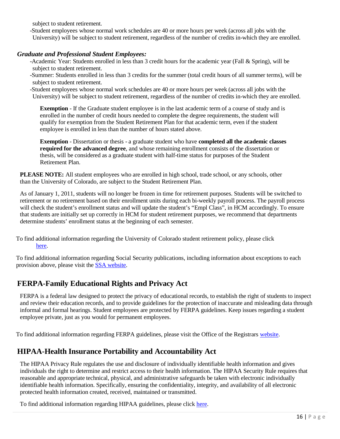subject to student retirement.

-Student employees whose normal work schedules are 40 or more hours per week (across all jobs with the University) will be subject to student retirement, regardless of the number of credits in-which they are enrolled.

#### *Graduate and Professional Student Employees:*

-Academic Year: Students enrolled in less than 3 credit hours for the academic year (Fall & Spring), will be subject to student retirement.

-Summer: Students enrolled in less than 3 credits for the summer (total credit hours of all summer terms), will be subject to student retirement.

-Student employees whose normal work schedules are 40 or more hours per week (across all jobs with the University) will be subject to student retirement, regardless of the number of credits in-which they are enrolled.

**Exemption** - If the Graduate student employee is in the last academic term of a course of study and is enrolled in the number of credit hours needed to complete the degree requirements, the student will qualify for exemption from the Student Retirement Plan for that academic term, even if the student employee is enrolled in less than the number of hours stated above.

**Exemption** - Dissertation or thesis - a graduate student who have **completed all the academic classes required for the advanced degree**, and whose remaining enrollment consists of the dissertation or thesis, will be considered as a graduate student with half-time status for purposes of the Student Retirement Plan.

**PLEASE NOTE:** All student employees who are enrolled in high school, trade school, or any schools, other than the University of Colorado, are subject to the Student Retirement Plan.

As of January 1, 2011, students will no longer be frozen in time for retirement purposes. Students will be switched to retirement or no retirement based on their enrollment units during each bi-weekly payroll process. The payroll process will check the student's enrollment status and will update the student's "Empl Class", in HCM accordingly. To ensure that students are initially set up correctly in HCM for student retirement purposes, we recommend that departments determine students' enrollment status at the beginning of each semester.

To find additional information regarding the University of Colorado student retirement policy, please click [here.](https://www.cu.edu/employee-services/benefits/student-employee-retirement)

To find additional information regarding Social Security publications, including information about exceptions to each provision above, please visit the [SSA website.](http://www.socialsecurity.gov/)

# <span id="page-15-0"></span>**FERPA-Family Educational Rights and Privacy Act**

FERPA is a federal law designed to protect the privacy of educational records, to establish the right of students to inspect and review their education records, and to provide guidelines for the protection of inaccurate and misleading data through informal and formal hearings. Student employees are protected by FERPA guidelines. Keep issues regarding a student employee private, just as you would for permanent employees.

To find additional information regarding FERPA guidelines, please visit the Office of the Registrars [website.](http://www.ucdenver.edu/student-services/resources/Registrar-dev/StudentServices/Policies/Pages/default.aspx)

# <span id="page-15-1"></span>**HIPAA-Health Insurance Portability and Accountability Act**

The HIPAA Privacy Rule regulates the use and disclosure of individually identifiable health information and gives individuals the right to determine and restrict access to their health information. The HIPAA Security Rule requires that reasonable and appropriate technical, physical, and administrative safeguards be taken with electronic individually identifiable health information. Specifically, ensuring the confidentiality, integrity, and availability of all electronic protected health information created, received, maintained or transmitted.

To find additional information regarding HIPAA guidelines, please click [here.](http://www.ucdenver.edu/research/ORC/HIPAA/Pages/Policy.aspx)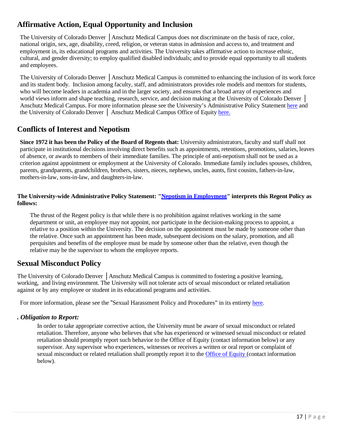# <span id="page-16-0"></span>**Affirmative Action, Equal Opportunity and Inclusion**

The University of Colorado Denver │Anschutz Medical Campus does not discriminate on the basis of race, color, national origin, sex, age, disability, creed, religion, or veteran status in admission and access to, and treatment and employment in, its educational programs and activities. The University takes affirmative action to increase ethnic, cultural, and gender diversity; to employ qualified disabled individuals; and to provide equal opportunity to all students and employees.

The University of Colorado Denver │Anschutz Medical Campus is committed to enhancing the inclusion of its work force and its student body. Inclusion among faculty, staff, and administrators provides role models and mentors for students, who will become leaders in academia and in the larger society, and ensures that a broad array of experiences and world views inform and shape teaching, research, service, and decision making at the University of Colorado Denver │ Anschutz Medical Campus. For more information please see the University's Administrative Policy Statement [here](https://www.cu.edu/ope/aps/5001) and the University of Colorado Denver │ Anschutz Medical Campus Office of Equity [here.](https://www.ucdenver.edu/offices/equity/university-policies-procedures#ac-equal-employment-opportunity-and-affirmative-action-policy-2)

# <span id="page-16-1"></span>**Conflicts of Interest and Nepotism**

**Since 1972 it has been the Policy of the Board of Regents that:** University administrators, faculty and staff shall not participate in institutional decisions involving direct benefits such as appointments, retentions, promotions, salaries, leaves of absence, or awards to members of their immediate families. The principle of anti-nepotism shall not be used as a criterion against appointment or employment at the University of Colorado. Immediate family includes spouses, children, parents, grandparents, grandchildren, brothers, sisters, nieces, nephews, uncles, aunts, first cousins, fathers-in-law, mothers-in-law, sons-in-law, and daughters-in-law.

#### **The University-wide Administrative Policy Statement: "Nepotism in [Employment"](https://www.cu.edu/ope/aps-5003-nepotism-employment) interprets this Regent Policy as follows:**

The thrust of the Regent policy is that while there is no prohibition against relatives working in the same department or unit, an employee may not appoint, nor participate in the decision-making process to appoint, a relative to a position within the University. The decision on the appointment must be made by someone other than the relative. Once such an appointment has been made, subsequent decisions on the salary, promotion, and all perquisites and benefits of the employee must be made by someone other than the relative, even though the relative may be the supervisor to whom the employee reports.

# <span id="page-16-2"></span>**Sexual Misconduct Policy**

The University of Colorado Denver │Anschutz Medical Campus is committed to fostering a positive learning, working, and living environment. The University will not tolerate acts of sexual misconduct or related retaliation against or by any employee or student in its educational programs and activities.

For more information, please see the "Sexual Harassment Policy and Procedures" in its entirety [here.](https://www.ucdenver.edu/offices/equity/university-policies-procedures#ac-equal-employment-opportunity-and-affirmative-action-policy-2)

#### *. Obligation to Report:*

In order to take appropriate corrective action, the University must be aware of sexual misconduct or related retaliation. Therefore, anyone who believes that s/he has experienced or witnessed sexual misconduct or related retaliation should promptly report such behavior to the Office of Equity (contact information below) or any supervisor. Any supervisor who experiences, witnesses or receives a written or oral report or complaint of sexual misconduct or related retaliation shall promptly report it to the Office [of Equity](http://equity.ucdenver.edu/) (contact information below).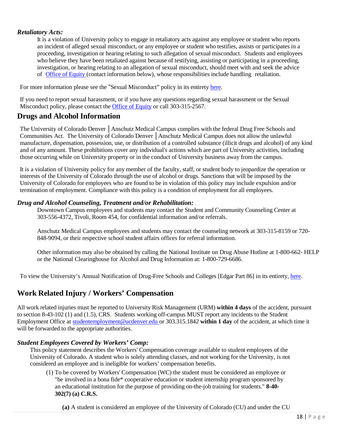#### *Retaliatory Acts:*

It is a violation of University policy to engage in retaliatory acts against any employee or student who reports an incident of alleged sexual misconduct, or any employee or student who testifies, assists or participates in a proceeding, investigation or hearing relating to such allegation of sexual misconduct. Students and employees who believe they have been retaliated against because of testifying, assisting or participating in a proceeding, investigation, or hearing relating to an allegation of sexual misconduct, should meet with and seek the advice of Office of [Equity \(](http://equity.ucdenver.edu/)contact information below), whose responsibilities include handling retaliation.

For more information please see the "Sexual Misconduct" policy in its entirety [here.](https://www.cu.edu/ope/aps/5014)

If you need to report sexual harassment, or if you have any questions regarding sexual harassment or the Sexual Misconduct policy, please contact the [Office of Equity](http://equity.ucdenver.edu/) or call 303-315-2567.

## <span id="page-17-0"></span>**Drugs and Alcohol Information**

The University of Colorado Denver │Anschutz Medical Campus complies with the federal Drug Free Schools and Communities Act. The University of Colorado Denver │Anschutz Medical Campus does not allow the unlawful manufacture, dispensation, possession, use, or distribution of a controlled substance (illicit drugs and alcohol) of any kind and of any amount. These prohibitions cover any individual's actions which are part of University activities, including those occurring while on University property or in the conduct of University business away from the campus.

It is a violation of University policy for any member of the faculty, staff, or student body to jeopardize the operation or interests of the University of Colorado through the use of alcohol or drugs. Sanctions that will be imposed by the University of Colorado for employees who are found to be in violation of this policy may include expulsion and/or termination of employment. Compliance with this policy is a condition of employment for all employees.

#### *Drug and Alcohol Counseling, Treatment and/or Rehabilitation:*

Downtown Campus employees and students may contact the Student and Community Counseling Center at 303-556-4372, Tivoli, Room 454, for confidential information and/or referrals.

Anschutz Medical Campus employees and students may contact the counseling network at 303-315-8159 or 720- 848-9094, or their respective school student affairs offices for referral information.

Other information may also be obtained by calling the National Institute on Drug Abuse Hotline at 1-800-662- HELP or the National Clearinghouse for Alcohol and Drug Information at: 1-800-729-6686.

To view the University's Annual Notification of Drug-Free Schools and Colleges [Edgar Part 86] in its entirety, [here.](http://www.ucdenver.edu/students/CollegeLife/Documents/1909_DrugFreeNotification.pdf)

# <span id="page-17-1"></span>**Work Related Injury / Workers' Compensation**

All work related injuries must be reported to University Risk Management (URM) **within 4 days** of the accident, pursuant to section 8-43-102 (1) and (1.5), CRS. Students working off-campus MUST report any incidents to the Student Employment Office at [studentemployment@ucdenver.edu](mailto:studentemployment@ucdenver.edu) or 303.315.1842 **within 1 day** of the accident, at which time it will be forwarded to the appropriate authorities.

#### *Student Employees Covered by Workers' Comp:*

This policy statement describes the Workers' Compensation coverage available to student employees of the University of Colorado. A student who is solely attending classes, and not working for the University, is not considered an employee and is ineligible for workers' compensation benefits.

- (1) To be covered by Workers' Compensation (WC) the student must be considered an employee or "be involved in a bona fide\* cooperative education or student internship program sponsored by an educational institution for the purpose of providing on-the-job training for students." **8-40- 302(7) (a) C.R.S.**
	- **(a)** A student is considered an employee of the University of Colorado (CU) and under the CU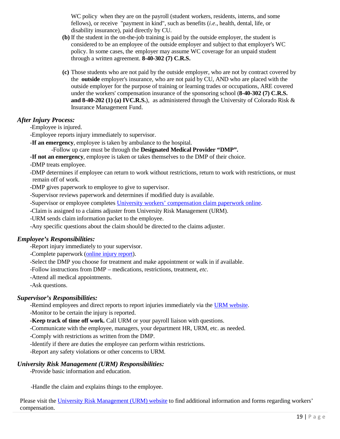WC policy when they are on the payroll (student workers, residents, interns, and some fellows), or receive "payment in kind", such as benefits (*i.e*., health, dental, life, or disability insurance), paid directly by CU.

- **(b)** If the student in the on-the-job training is paid by the outside employer, the student is considered to be an employee of the outside employer and subject to that employer's WC policy. In some cases, the employer may assume WC coverage for an unpaid student through a written agreement. **8-40-302 (7) C.R.S.**
- **(c)** Those students who are not paid by the outside employer, who are not by contract covered by the **outside** employer's insurance, who are not paid by CU, AND who are placed with the outside employer for the purpose of training or learning trades or occupations, ARE covered under the workers' compensation insurance of the sponsoring school (**8-40-302 (7) C.R.S. and 8-40-202 (1) (a) IVC.R.S.**), as administered through the University of Colorado Risk & Insurance Management Fund.

#### *After Injury Process:*

-Employee is injured.

-Employee reports injury immediately to supervisor.

**-If an emergency**, employee is taken by ambulance to the hospital.

-Follow up care must be through the **Designated Medical Provider "DMP".**

**-If not an emergency**, employee is taken or takes themselves to the DMP of their choice.

-DMP treats employee.

-DMP determines if employee can return to work without restrictions, return to work with restrictions, or must remain off of work.

-DMP gives paperwork to employee to give to supervisor.

-Supervisor reviews paperwork and determines if modified duty is available.

-Supervisor or employee completes [University workers' compensation claim paperwork online.](https://www.cu.edu/content/fileclaim)

-Claim is assigned to a claims adjuster from University Risk Management (URM).

-URM sends claim information packet to the employee.

-Any specific questions about the claim should be directed to the claims adjuster.

#### *Employee's Responsibilities:*

-Report injury immediately to your supervisor.

-Complete paperwork [\(online](https://www.cu.edu/content/fileclaim) injury report).

-Select the DMP you choose for treatment and make appointment or walk in if available.

-Follow instructions from DMP – medications, restrictions, treatment, *etc*.

-Attend all medical appointments.

-Ask questions.

#### *Supervisor's Responsibilities:*

-Remind employees and direct reports to report injuries immediately via the URM [website.](https://www.cu.edu/risk) -Monitor to be certain the injury is reported.

**-Keep track of time off work.** Call URM or your payroll liaison with questions.

-Communicate with the employee, managers, your department HR, URM, etc. as needed.

-Comply with restrictions as written from the DMP.

-Identify if there are duties the employee can perform within restrictions.

-Report any safety violations or other concerns to URM.

#### *University Risk Management (URM) Responsibilities:*

-Provide basic information and education.

-Handle the claim and explains things to the employee.

Please visit the University Risk [Management](https://www.cu.edu/content/workerscompensation) (URM) website to find additional information and forms regarding workers' compensation.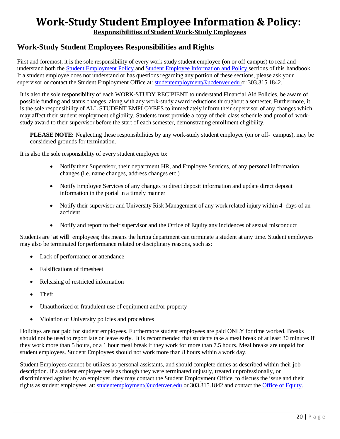# <span id="page-19-0"></span>**Work-Study Student Employee Information & Policy:**

**Responsibilities of Student Work-Study Employees**

# <span id="page-19-1"></span>**Work-Study Student Employees Responsibilities and Rights**

First and foremost, it is the sole responsibility of every work-study student employee (on or off-campus) to read and understand both the Student [Employment](#page-6-0) Policy and Student [Employee Information and](#page-3-0) Policy sections of this handbook. If a student employee does not understand or has questions regarding any portion of these sections, please ask your supervisor or contact the Student Employment Office at: [studentemployment@ucdenver.edu](mailto:studentemployment@ucdenver.edu) or 303.315.1842.

It is also the sole responsibility of each WORK-STUDY RECIPIENT to understand Financial Aid Policies, be aware of possible funding and status changes, along with any work-study award reductions throughout a semester. Furthermore, it is the sole responsibility of ALL STUDENT EMPLOYEES to immediately inform their supervisor of any changes which may affect their student employment eligibility. Students must provide a copy of their class schedule and proof of workstudy award to their supervisor before the start of each semester, demonstrating enrollment eligibility.

**PLEASE NOTE:** Neglecting these responsibilities by any work-study student employee (on or off- campus), may be considered grounds for termination.

It is also the sole responsibility of every student employee to:

- Notify their Supervisor, their department HR, and Employee Services, of any personal information changes (i.e. name changes, address changes etc.)
- Notify Employee Services of any changes to direct deposit information and update direct deposit information in the portal in a timely manner
- Notify their supervisor and University Risk Management of any work related injury within 4 days of an accident
- Notify and report to their supervisor and the Office of Equity any incidences of sexual misconduct

Students are '**at will**' employees; this means the hiring department can terminate a student at any time. Student employees may also be terminated for performance related or disciplinary reasons, such as:

- Lack of performance or attendance
- Falsifications of timesheet
- Releasing of restricted information
- Theft
- Unauthorized or fraudulent use of equipment and/or property
- Violation of University policies and procedures

Holidays are not paid for student employees. Furthermore student employees are paid ONLY for time worked. Breaks should not be used to report late or leave early. It is recommended that students take a meal break of at least 30 minutes if they work more than 5 hours, or a 1 hour meal break if they work for more than 7.5 hours. Meal breaks are unpaid for student employees. Student Employees should not work more than 8 hours within a work day.

Student Employees cannot be utilizes as personal assistants, and should complete duties as described within their job description. If a student employee feels as though they were terminated unjustly, treated unprofessionally, or discriminated against by an employer, they may contact the Student Employment Office, to discuss the issue and their rights as student employees, at: [studentemployment@ucdenver.edu](mailto:studentemployment@ucdenver.edu) or 303.315.1842 and contact the Office of [Equity.](http://equity.ucdenver.edu/)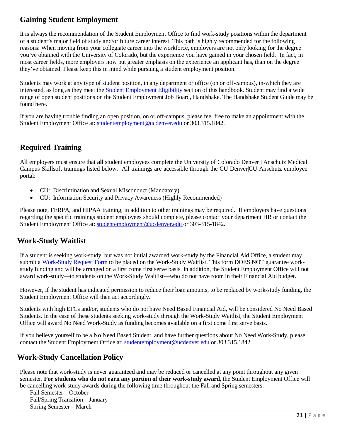# **Gaining Student Employment**

It is always the recommendation of the Student Employment Office to find work-study positions within the department of a student's major field of study and/or future career interest. This path is highly recommended for the following reasons: When moving from your collegiate career into the workforce, employers are not only looking for the degree you've obtained with the University of Colorado, but the experience you have gained in your chosen field. In fact, in most career fields, more employers now put greater emphasis on the experience an applicant has, than on the degree they've obtained. Please keep this in mind while pursuing a student employment position.

<span id="page-20-0"></span>Students may work at any type of student position, in any department or office (on or off-campus), in-which they are interested, as long as they meet the Student [Employment](#page-6-1) Eligibility section of this handbook. Student may find a wide range of open student positions on the Student Employment Job Board, Handshake. The Handshake Student Guide may be found [here.](http://www.ucdenver.edu/life/services/careercenter/Documents/Handshake-Student-Guide.pdf)

If you are having trouble finding an open position, on or off-campus, please feel free to make an appointment with the Student Employment Office at: [studentemployment@ucdenver.edu](mailto:studentemployment@ucdenver.edu) or 303.315.1842.

# **Required Training**

All employers must ensure that **all** student employees complete the University of Colorado Denver | Anschutz Medical Campus Skillsoft trainings listed below. All trainings are accessible through the CU Denver|CU Anschutz employee portal:

- CU: Discrimination and Sexual Misconduct (Mandatory)
- CU: Information Security and Privacy Awareness (Highly Recommended)

Please note, FERPA, and HIPAA training, in addition to other trainings may be required. If employers have questions regarding the specific trainings student employees should complete, please contact your department HR or contact the Student Employment Office at: [studentemployment@ucdenver.edu](mailto:studentemployment@ucdenver.edu) or 303-315-1842.

# <span id="page-20-1"></span>**Work-Study Waitlist**

If a student is seeking work-study, but was not initial awarded work-study by the Financial Aid Office, a student may submit a [Work-Study](http://www.ucdenver.edu/student-services/resources/CostsAndFinancing/FASO/Do/Pages/Forms.aspx) Request Form to be placed on the Work-Study Waitlist. This form DOES NOT guarantee workstudy funding and will be arranged on a first come first serve basis. In addition, the Student Employment Office will not award work-study—to students on the Work-Study Waitlist—who do not have room in their Financial Aid budget.

However, if the student has indicated permission to reduce their loan amounts, to be replaced by work-study funding, the Student Employment Office will then act accordingly.

Students with high EFCs and/or, students who do not have Need Based Financial Aid, will be considered No Need Based Students. In the case of these students seeking work-study through the Work-Study Waitlist, the Student Employment Office will award No Need Work-Study as funding becomes available on a first come first serve basis.

If you believe yourself to be a No Need Based Student, and have further questions about No Need Work-Study, please contact the Student Employment Office at: [studentemployment@ucdenver.edu o](mailto:studentemployment@ucdenver.edu)r 303.315.1842

# <span id="page-20-2"></span>**Work-Study Cancellation Policy**

Please note that work-study is never guaranteed and may be reduced or cancelled at any point throughout any given semester. **For students who do not earn any portion of their work-study award**, the Student Employment Office will be cancelling work-study awards during the following time throughout the Fall and Spring semesters:

Fall Semester – October Fall/Spring Transition – January Spring Semester – March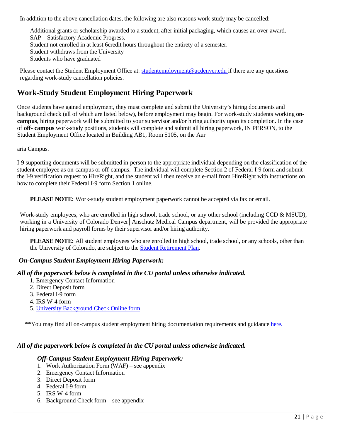In addition to the above cancellation dates, the following are also reasons work-study may be cancelled:

Additional grants or scholarship awarded to a student, after initial packaging, which causes an over-award. SAP – Satisfactory Academic Progress. Student not enrolled in at least 6credit hours throughout the entirety of a semester. Student withdraws from the University Students who have graduated

Please contact the Student Employment Office at: [studentemployment@ucdenver.edu](mailto:studentemployment@ucdenver.edu) if there are any questions regarding work-study cancellation policies.

# **Work-Study Student Employment Hiring Paperwork**

Once students have gained employment, they must complete and submit the University's hiring documents and background check (all of which are listed below), before employment may begin. For work-study students working **oncampus**, hiring paperwork will be submitted to your supervisor and/or hiring authority upon its completion. In the case of **off- campus** work-study positions, students will complete and submit all hiring paperwork, IN PERSON, to the Student Employment Office located in Building AB1, Room 5105, on the Aur

aria Campus.

<span id="page-21-0"></span>I-9 supporting documents will be submitted in-person to the appropriate individual depending on the classification of the student employee as on-campus or off-campus. The individual will complete Section 2 of Federal I-9 form and submit the I-9 verification request to HireRight, and the student will then receive an e-mail from HireRight with instructions on how to complete their Federal I-9 form Section 1 online.

**PLEASE NOTE:** Work-study student employment paperwork cannot be accepted via fax or email.

Work-study employees, who are enrolled in high school, trade school, or any other school (including CCD & MSUD), working in a University of Colorado Denver│Anschutz Medical Campus department, will be provided the appropriate hiring paperwork and payroll forms by their supervisor and/or hiring authority.

**PLEASE NOTE:** All student employees who are enrolled in high school, trade school, or any schools, other than the University of Colorado, are subject to the Student [Retirement](https://www.cu.edu/employee-services/benefits-wellness/student-employee/student-employee-retirement-program) Plan.

#### *On-Campus Student Employment Hiring Paperwork:*

#### *All of the paperwork below is completed in the CU portal unless otherwise indicated.*

- 1. Emergency Contact Information
- 2. Direct Deposit form
- 3. Federal I-9 form
- 4. IRS W-4 form
- 5. University [Background Check](https://forms.ucdenver.edu/secure/background_check_request) Online form

\*\*You may find all on-campus student employment hiring documentation requirements and guidance [here.](http://www.ucdenver.edu/student-services/resources/CostsAndFinancing/FASO/Do/StudentEmployment/Pages/Forms.aspx)

#### *All of the paperwork below is completed in the CU portal unless otherwise indicated.*

#### *Off-Campus Student Employment Hiring Paperwork:*

- 1. Work Authorization Form (WAF) see appendix
- 2. Emergency Contact Information
- 3. Direct Deposit form
- 4. Federal I-9 form
- 5. IRS W-4 form
- 6. Background Check form see appendix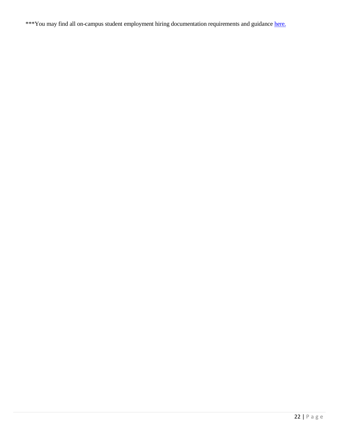\*\*\*You may find all on-campus student employment hiring documentation requirements and guidance [here.](http://www.ucdenver.edu/student-services/resources/CostsAndFinancing/FASO/Do/StudentEmployment/Pages/Forms.aspx)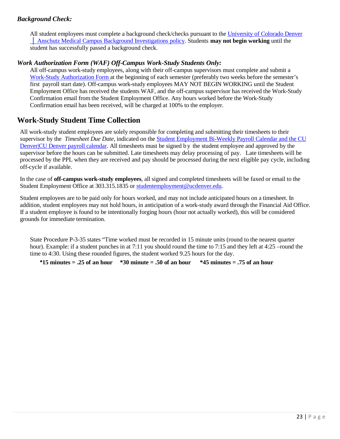#### *Background Check:*

All student employees must complete a background check/checks pursuant to the University [of Colorado](https://www.cu.edu/ope/aps/5050) Denver │ Anschutz Medical [Campus Background Investigations policy. S](https://www.cu.edu/ope/aps/5050)tudents **may not begin working** until the student has successfully passed a background check.

#### *Work Authorization Form (WAF) Off-Campus Work-Study Students Only:*

All off-campus work-study employees, along with their off-campus supervisors must complete and submit a Work-Study [Authorization](http://www.ucdenver.edu/student-services/resources/CostsAndFinancing/FASO/Do/StudentEmployment/Documents/Workstudy%20Authorization%20Form.pdf) Form at the beginning of each semester (preferably two weeks before the semester's first payroll start date). Off-campus work-study employees MAY NOT BEGIN WORKING until the Student Employment Office has received the students WAF, and the off-campus supervisor has received the Work-Study Confirmation email from the Student Employment Office. Any hours worked before the Work-Study Confirmation email has been received, will be charged at 100% to the employer.

# <span id="page-23-0"></span>**Work-Study Student Time Collection**

All work-study student employees are solely responsible for completing and submitting their timesheets to their supervisor by the *Timesheet Due Date*, indicated on the Student [Employment](http://www.ucdenver.edu/student-services/resources/CostsAndFinancing/FASO/Do/StudentEmployment/Documents/2019-2020/2019-2020%20Student%20Employment%20Bi-Weekly%20Payroll%20Calendar.pdf) Bi-Weekly Payroll Calendar and the [CU](http://www.ucdenver.edu/about/departments/HR/Documents/CUDenver2018CalendarFeb-July2018.pdf) [Denver|CU](https://www.cu.edu/hcm-community/pay-employees/payroll-production-calendars) Denver payroll calendar. All timesheets must be signed by the student employee and approved by the supervisor before the hours can be submitted. Late timesheets may delay processing of pay. Late timesheets will be processed by the PPL when they are received and pay should be processed during the next eligible pay cycle, including off-cycle if available.

In the case of **off-campus work-study employees**, all signed and completed timesheets will be faxed or email to the Student Employment Office at 303.315.1835 or [studentemployment@ucdenver.edu.](mailto:studentemployment@ucdenver.edu)

Student employees are to be paid only for hours worked, and may not include anticipated hours on a timesheet. In addition, student employees may not hold hours, in anticipation of a work-study award through the Financial Aid Office. If a student employee is found to be intentionally forging hours (hour not actually worked), this will be considered grounds for immediate termination.

State Procedure P-3-35 states "Time worked must be recorded in 15 minute units (round to the nearest quarter hour). Example: if a student punches in at 7:11 you should round the time to 7:15 and they left at 4:25 –round the time to 4:30. Using these rounded figures, the student worked 9.25 hours for the day.

**\*15 minutes = .25 of an hour \*30 minute = .50 of an hour \*45 minutes = .75 of an hour**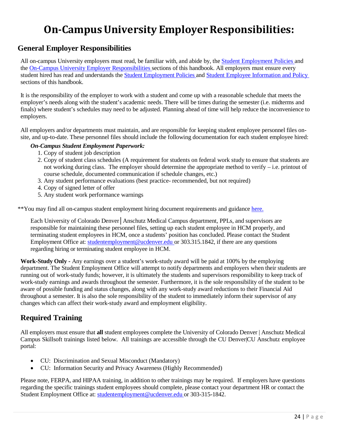# **On-Campus University Employer Responsibilities:**

# <span id="page-24-1"></span><span id="page-24-0"></span>**General Employer Responsibilities**

All on-campus University employers must read, be familiar with, and abide by, the Student [Employment](#page-6-0) Policies and the On-Campus University Employer [Responsibilities](#page-3-1) sections of this handbook. All employers must ensure every student hired has read and understands th[e Student Employment Policies](#page-19-0) and Student [Employee Information](#page-19-0) and Policy sections of this handbook.

It is the responsibility of the employer to work with a student and come up with a reasonable schedule that meets the employer's needs along with the student's academic needs. There will be times during the semester (i.e. midterms and finals) where student's schedules may need to be adjusted. Planning ahead of time will help reduce the inconvenience to employers.

All employers and/or departments must maintain, and are responsible for keeping student employee personnel files onsite, and up-to-date. These personnel files should include the following documentation for each student employee hired:

#### *On-Campus Student Employment Paperwork:*

- 1. Copy of student job description
- 2. Copy of student class schedules (A requirement for students on federal work study to ensure that students are not working during class. The employer should determine the appropriate method to verify – i.e. printout of course schedule, documented communication if schedule changes, etc.)
- 3. Any student performance evaluations (best practice- recommended, but not required)
- 4. Copy of signed letter of offer
- 5. Any student work performance warnings

\*\*You may find all on-campus student employment hiring document requirements and guidance [here.](http://www.ucdenver.edu/student-services/resources/CostsAndFinancing/FASO/Do/StudentEmployment/Pages/Forms.aspx)

Each University of Colorado Denver│Anschutz Medical Campus department, PPLs, and supervisors are responsible for maintaining these personnel files, setting up each student employee in HCM properly, and terminating student employees in HCM, once a students' position has concluded. Please contact the Student Employment Office at: [studentemployment@ucdenver.edu](mailto:studentemployment@ucdenver.edu) or 303.315.1842, if there are any questions regarding hiring or terminating student employee in HCM.

**Work-Study Only -** Any earnings over a student's work-study award will be paid at 100% by the employing department. The Student Employment Office will attempt to notify departments and employers when their students are running out of work-study funds; however, it is ultimately the students and supervisors responsibility to keep track of work-study earnings and awards throughout the semester. Furthermore, it is the sole responsibility of the student to be aware of possible funding and status changes, along with any work-study award reductions to their Financial Aid throughout a semester. It is also the sole responsibility of the student to immediately inform their supervisor of any changes which can affect their work-study award and employment eligibility.

# <span id="page-24-2"></span>**Required Training**

All employers must ensure that **all** student employees complete the University of Colorado Denver | Anschutz Medical Campus Skillsoft trainings listed below. All trainings are accessible through the CU Denver|CU Anschutz employee portal:

- CU: Discrimination and Sexual Misconduct (Mandatory)
- CU: Information Security and Privacy Awareness (Highly Recommended)

Please note, FERPA, and HIPAA training, in addition to other trainings may be required. If employers have questions regarding the specific trainings student employees should complete, please contact your department HR or contact the Student Employment Office at: [studentemployment@ucdenver.edu](mailto:studentemployment@ucdenver.edu) or 303-315-1842.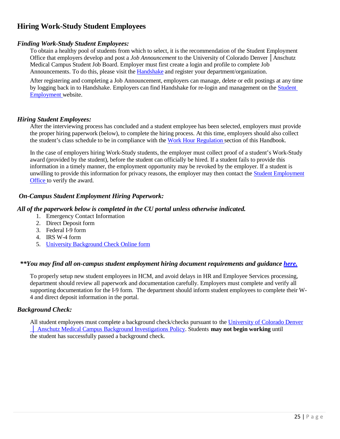# <span id="page-25-0"></span>**Hiring Work-Study Student Employees**

#### *Finding Work-Study Student Employees:*

To obtain a healthy pool of students from which to select, it is the recommendation of the Student Employment Office that employers develop and post a *Job Announcement* to the University of Colorado Denver │Anschutz Medical Campus Student Job Board. Employer must first create a login and profile to complete Job Announcements. To do this, please visit the [Handshake](https://ucdenver.joinhandshake.com/login) and register your department/organization.

After registering and completing a Job Announcement, employers can manage, delete or edit postings at any time by logging back in to Handshake. Employers can find Handshake for re-login and management on the [Student](http://www.ucdenver.edu/student-services/resources/CostsAndFinancing/FASO/Do/StudentEmployment/Pages/StudentEmployment.aspx)  [Employment](http://www.ucdenver.edu/student-services/resources/CostsAndFinancing/FASO/Do/StudentEmployment/Pages/StudentEmployment.aspx) website.

#### *Hiring Student Employees:*

After the interviewing process has concluded and a student employee has been selected, employers must provide the proper hiring paperwork (below), to complete the hiring process. At this time, employers should also collect the student's class schedule to be in compliance with the Work Hour [Regulation](#page-7-0) section of this Handbook.

In the case of employers hiring Work-Study students, the employer must collect proof of a student's Work-Study award (provided by the student), before the student can officially be hired. If a student fails to provide this information in a timely manner, the employment opportunity may be revoked by the employer. If a student is unwilling to provide this information for privacy reasons, the employer may then contact the **Student [Employment](mailto:studentemployment@ucdenver.edu)** [Office](mailto:studentemployment@ucdenver.edu) to verify the award.

#### *On-Campus Student Employment Hiring Paperwork:*

#### *All of the paperwork below is completed in the CU portal unless otherwise indicated.*

- 1. Emergency Contact Information
- 2. Direct Deposit form
- 3. Federal I-9 form
- 4. IRS W-4 form
- 5. University [Background Check](https://forms.ucdenver.edu/secure/background_check_request) Online form

#### *\*\*You may find all on-campus student employment hiring document requirements and guidance [here.](http://www.ucdenver.edu/student-services/resources/CostsAndFinancing/FASO/Do/StudentEmployment/Pages/Forms.aspx)*

To properly setup new student employees in HCM, and avoid delays in HR and Employee Services processing, department should review all paperwork and documentation carefully. Employers must complete and verify all supporting documentation for the I-9 form. The department should inform student employees to complete their W-4 and direct deposit information in the portal.

#### *Background Check:*

All student employees must complete a background check/checks pursuant to the University [of Colorado](https://www.cu.edu/ope/aps/5050) Denver │ Anschutz Medical [Campus Background Investigations Policy. S](https://www.cu.edu/ope/aps/5050)tudents **may not begin working** until the student has successfully passed a background check.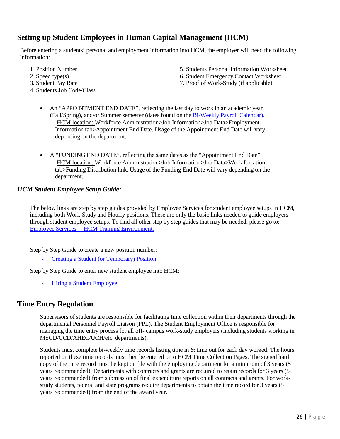# <span id="page-26-0"></span>**Setting up Student Employees in Human Capital Management (HCM)**

Before entering a students' personal and employment information into HCM, the employer will need the following information:

- 
- 
- 
- 4. Students Job Code/Class
- 1. Position Number 5. Students Personal Information Worksheet
- 2. Speed type(s) 6. Student Emergency Contact Worksheet
- 3. Student Pay Rate 7. Proof of Work-Study (if applicable)
	- An "APPOINTMENT END DATE", reflecting the last day to work in an academic year (Fall/Spring), and/or Summer semester (dates found on the [Bi-Weekly](http://www.ucdenver.edu/student-services/resources/CostsAndFinancing/FASO/Do/StudentEmployment/Documents/2019-2020/2019-2020%20Student%20Employment%20Bi-Weekly%20Payroll%20Calendar.pdf) Payroll Calendar). -HCM location: Workforce Administration>Job Information>Job Data>Employment Information tab>Appointment End Date. Usage of the Appointment End Date will vary depending on the department.
	- A "FUNDING END DATE", reflecting the same dates as the "Appointment End Date". -HCM location: Workforce Administration>Job Information>Job Data>Work Location tab>Funding Distribution link. Usage of the Funding End Date will vary depending on the department.

#### *HCM Student Employee Setup Guide:*

The below links are step by step guides provided by Employee Services for student employee setups in HCM, including both Work-Study and Hourly positions. These are only the basic links needed to guide employers through student employee setups. To find all other step by step guides that may be needed, please go to: Employee Services – HCM Training [Environment.](http://www.cu.edu/hcm-community/hcm-access-training)

Step by Step Guide to create a new position number:

- Creating a Student (or [Temporary\)](https://www.cu.edu/hcm-community/hire-or-rehire) Position

Step by Step Guide to enter new student employee into HCM:

- Hiring a Student [Employee](https://www.cu.edu/docs/sbs-hiring-employee)

# <span id="page-26-1"></span>**Time Entry Regulation**

Supervisors of students are responsible for facilitating time collection within their departments through the departmental Personnel Payroll Liaison (PPL). The Student Employment Office is responsible for managing the time entry process for all off- campus work-study employers (including students working in MSCD/CCD/AHEC/UCH/etc. departments).

Students must complete bi-weekly time records listing time in & time out for each day worked. The hours reported on these time records must then be entered onto HCM Time Collection Pages. The signed hard copy of the time record must be kept on file with the employing department for a minimum of 3 years (5 years recommended). Departments with contracts and grants are required to retain records for 3 years (5 years recommended) from submission of final expenditure reports on all contracts and grants. For workstudy students, federal and state programs require departments to obtain the time record for 3 years (5 years recommended) from the end of the award year.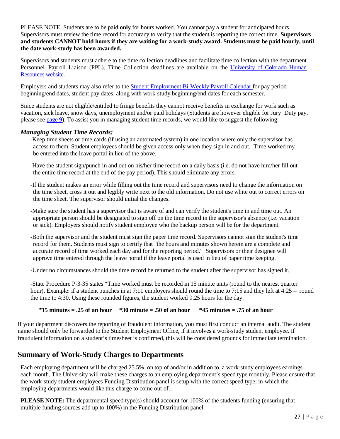PLEASE NOTE: Students are to be paid **only** for hours worked. You cannot pay a student for anticipated hours. Supervisors must review the time record for accuracy to verify that the student is reporting the correct time. **Supervisors and students CANNOT hold hours if they are waiting for a work-study award. Students must be paid hourly, until the date work-study has been awarded.**

Supervisors and students must adhere to the time collection deadlines and facilitate time collection with the department Personnel Payroll Liaison (PPL). Time Collection deadlines are available on the [University of Colorado Human](https://www.cu.edu/hcm-community/pay-employees/payroll-production-calendars)  [Resources website.](https://www.cu.edu/hcm-community/pay-employees/payroll-production-calendars)

Employers and students may also refer to the Student [Employment](http://www.ucdenver.edu/student-services/resources/CostsAndFinancing/FASO/Do/StudentEmployment/Documents/2019-2020/2019-2020%20Student%20Employment%20Bi-Weekly%20Payroll%20Calendar.pdf) Bi-Weekly Payroll Calendar for pay period beginning/end dates, student pay dates, along with work-study beginning/end dates for each semester.

Since students are not eligible/entitled to fringe benefits they cannot receive benefits in exchange for work such as vacation, sick leave, snow days, unemployment and/or paid holidays (Students are however eligible for Jury Duty pay, please se[e page 9\)](#page-8-0). To assist you in managing student time records, we would like to suggest the following:

#### *Managing Student Time Records:*

- -Keep time sheets or time cards (if using an automated system) in one location where only the supervisor has access to them. Student employees should be given access only when they sign in and out. Time worked my be entered into the leave portal in lieu of the above.
- -Have the student sign/punch in and out on his/her time record on a daily basis (i.e. do not have him/her fill out the entire time record at the end of the pay period). This should eliminate any errors.
- -If the student makes an error while filling out the time record and supervisors need to change the information on the time sheet, cross it out and legibly write next to the old information. Do not use white out to correct errors on the time sheet. The supervisor should initial the changes.
- -Make sure the student has a supervisor that is aware of and can verify the student's time in and time out. An appropriate person should be designated to sign off on the time record in the supervisor's absence (i.e. vacation or sick). Employers should notify student employee who the backup person will be for the department.
- -Both the supervisor and the student must sign the paper time record. Supervisors cannot sign the student's time record for them. Students must sign to certify that "the hours and minutes shown herein are a complete and accurate record of time worked each day and for the reporting period." Supervisors or their designee will approve time entered through the leave portal if the leave portal is used in lieu of paper time keeping.
- -Under no circumstances should the time record be returned to the student after the supervisor has signed it.

-State Procedure P-3-35 states "Time worked must be recorded in 15 minute units (round to the nearest quarter hour). Example: if a student punches in at 7:11 employers should round the time to 7:15 and they left at 4:25 – round the time to 4:30. Using these rounded figures, the student worked 9.25 hours for the day.

#### **\*15 minutes = .25 of an hour \*30 minute = .50 of an hour \*45 minutes = .75 of an hour**

If your department discovers the reporting of fraudulent information, you must first conduct an internal audit. The student name should only be forwarded to the Student Employment Office, if it involves a work-study student employee. If fraudulent information on a student's timesheet is confirmed, this will be considered grounds for immediate termination.

# <span id="page-27-0"></span>**Summary of Work-Study Charges to Departments**

Each employing department will be charged 25.5%, on top of and/or in addition to, a work-study employees earnings each month. The University will make these charges to an employing department's speed type monthly. Please ensure that the work-study student employees Funding Distribution panel is setup with the correct speed type, in-which the employing departments would like this charge to come out of.

**PLEASE NOTE:** The departmental speed type(s) should account for 100% of the students funding (ensuring that multiple funding sources add up to 100%) in the Funding Distribution panel.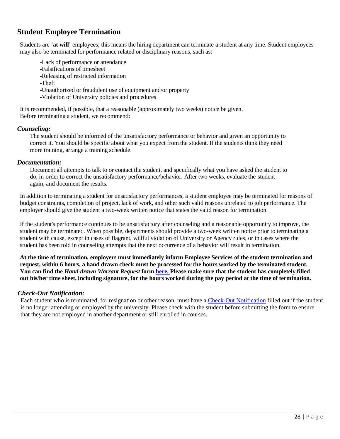# <span id="page-28-0"></span>**Student Employee Termination**

Students are '**at will**' employees; this means the hiring department can terminate a student at any time. Student employees may also be terminated for performance related or disciplinary reasons, such as:

-Lack of performance or attendance -Falsifications of timesheet -Releasing of restricted information -Theft -Unauthorized or fraudulent use of equipment and/or property -Violation of University policies and procedures

It is recommended, if possible, that a reasonable (approximately two weeks) notice be given. Before terminating a student, we recommend:

#### *Counseling:*

The student should be informed of the unsatisfactory performance or behavior and given an opportunity to correct it. You should be specific about what you expect from the student. If the students think they need more training, arrange a training schedule.

#### *Documentation:*

Document all attempts to talk to or contact the student, and specifically what you have asked the student to do, in-order to correct the unsatisfactory performance/behavior. After two weeks, evaluate the student again, and document the results.

In addition to terminating a student for unsatisfactory performances, a student employee may be terminated for reasons of budget constraints, completion of project, lack of work, and other such valid reasons unrelated to job performance. The employer should give the student a two-week written notice that states the valid reason for termination.

If the student's performance continues to be unsatisfactory after counseling and a reasonable opportunity to improve, the student may be terminated. When possible, departments should provide a two-week written notice prior to terminating a student with cause, except in cases of flagrant, willful violation of University or Agency rules, or in cases where the student has been told in counseling attempts that the next occurrence of a behavior will result in termination.

**At the time of termination, employers must immediately inform Employee Services of the student termination and**  request, within 6 hours, a hand drawn check must be processed for the hours worked by the terminated student. You can find the *Hand-drawn Warrant Request* form [here.](https://www.cu.edu/hcm-community/policies/hand-drawn-warrant) Please make sure that the student has completely filled out his/her time sheet, including signature, for the hours worked during the pay period at the time of termination.

#### <span id="page-28-1"></span>*Check-Out Notification:*

Each student who is terminated, for resignation or other reason, must have a [Check-Out Notification](http://www.ucdenver.edu/about/departments/HR/resourcesforemployees/employeecategories/Pages/studentworkers.aspx) filled out if the student is no longer attending or employed by the university. Please check with the student before submitting the form to ensure that they are not employed in another department or still enrolled in courses.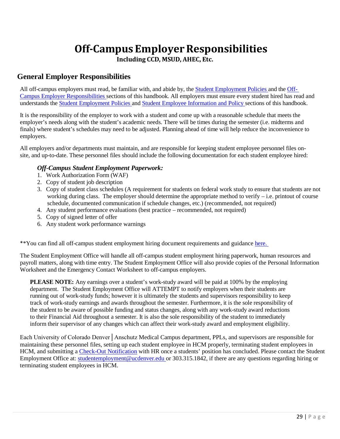# **Off-Campus EmployerResponsibilities**

**Including CCD, MSUD, AHEC, Etc.**

## <span id="page-29-1"></span><span id="page-29-0"></span>**General Employer Responsibilities**

All off-campus employers must read, be familiar with, and abide by, the Student [Employment](#page-6-0) Policies and the [Off-](#page-29-0)Campus [Employer Responsibilities](#page-29-0) sections of this handbook. All employers must ensure every student hired has read and understands the Student [Employment](#page-6-0) Policies and Student [Employee Information](#page-19-0) and Policy sections of this handbook.

It is the responsibility of the employer to work with a student and come up with a reasonable schedule that meets the employer's needs along with the student's academic needs. There will be times during the semester (i.e. midterms and finals) where student's schedules may need to be adjusted. Planning ahead of time will help reduce the inconvenience to employers.

All employers and/or departments must maintain, and are responsible for keeping student employee personnel files onsite, and up-to-date. These personnel files should include the following documentation for each student employee hired:

#### *Off-Campus Student Employment Paperwork:*

- 1. Work Authorization Form (WAF)
- 2. Copy of student job description
- 3. Copy of student class schedules (A requirement for students on federal work study to ensure that students are not working during class. The employer should determine the appropriate method to verify  $-$  i.e. printout of course schedule, documented communication if schedule changes, etc.) (recommended, not required)
- 4. Any student performance evaluations (best practice recommended, not required)
- 5. Copy of signed letter of offer
- 6. Any student work performance warnings

\*\*You can find all off-campus student employment hiring document requirements and guidance [here.](http://www.ucdenver.edu/student-services/resources/CostsAndFinancing/FASO/Do/StudentEmployment/Pages/Forms.aspx) 

The Student Employment Office will handle all off-campus student employment hiring paperwork, human resources and payroll matters, along with time entry. The Student Employment Office will also provide copies of the Personal Information Worksheet and the Emergency Contact Worksheet to off-campus employers.

**PLEASE NOTE:** Any earnings over a student's work-study award will be paid at 100% by the employing department. The Student Employment Office will ATTEMPT to notify employers when their students are running out of work-study funds; however it is ultimately the students and supervisors responsibility to keep track of work-study earnings and awards throughout the semester. Furthermore, it is the sole responsibility of the student to be aware of possible funding and status changes, along with any work-study award reductions to their Financial Aid throughout a semester. It is also the sole responsibility of the student to immediately inform their supervisor of any changes which can affect their work-study award and employment eligibility.

<span id="page-29-2"></span>Each University of Colorado Denver│Anschutz Medical Campus department, PPLs, and supervisors are responsible for maintaining these personnel files, setting up each student employee in HCM properly, terminating student employees in HCM, and submitting [a Check-Out Notification](http://www.ucdenver.edu/about/departments/HR/resourcesforemployees/employeecategories/Pages/studentworkers.aspx) with HR once a students' position has concluded. Please contact the Student Employment Office at: [studentemployment@ucdenver.edu o](mailto:studentemployment@ucdenver.edu)r 303.315.1842, if there are any questions regarding hiring or terminating student employees in HCM.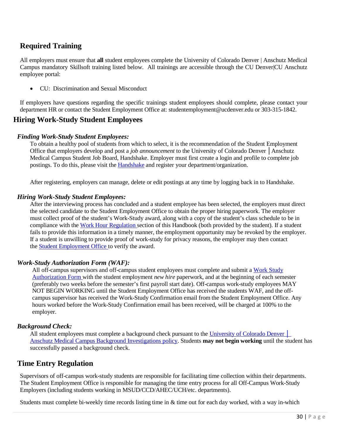# **Required Training**

All employers must ensure that **all** student employees complete the University of Colorado Denver | Anschutz Medical Campus mandatory Skillsoft training listed below. All trainings are accessible through the CU Denver|CU Anschutz employee portal:

• CU: Discrimination and Sexual Misconduct

If employers have questions regarding the specific trainings student employees should complete, please contact your department HR or contact the Student Employment Office at[: studentemployment@ucdenver.edu o](mailto:studentemployment@ucdenver.edu)r 303-315-1842.

## **Hiring Work-Study Student Employees**

#### *Finding Work-Study Student Employees:*

To obtain a healthy pool of students from which to select, it is the recommendation of the Student Employment Office that employers develop and post a *job announcement* to the University of Colorado Denver │Anschutz Medical Campus Student Job Board, Handshake. Employer must first create a login and profile to complete job postings. To do this, please visit the [Handshake](https://app.joinhandshake.com/login) and register your department/organization.

After registering, employers can manage, delete or edit postings at any time by logging back in to Handshake.

#### *Hiring Work-Study Student Employees:*

After the interviewing process has concluded and a student employee has been selected, the employers must direct the selected candidate to the Student Employment Office to obtain the proper hiring paperwork. The employer must collect proof of the student's Work-Study award, along with a copy of the student's class schedule to be in compliance with the Work Hour [Regulation](#page-7-0) section of this Handbook (both provided by the student). If a student fails to provide this information in a timely manner, the employment opportunity may be revoked by the employer. If a student is unwilling to provide proof of work-study for privacy reasons, the employer may then contact the Student [Employment](mailto:studentemployment@ucdenver.edu) Office to verify the award.

#### *Work-Study Authorization Form (WAF):*

All off-campus supervisors and off-campus student employees must complete and submit a [Work Study](http://www.ucdenver.edu/student-services/resources/CostsAndFinancing/FASO/Do/StudentEmployment/Documents/2016-2017/WAF%2016-17.pdf) [Authorization Form](http://www.ucdenver.edu/student-services/resources/CostsAndFinancing/FASO/Do/StudentEmployment/Documents/Workstudy%20Authorization%20Form.pdf) with the student employment *new hire* paperwork, and at the beginning of each semester (preferably two weeks before the semester's first payroll start date). Off-campus work-study employees MAY NOT BEGIN WORKING until the Student Employment Office has received the students WAF, and the offcampus supervisor has received the Work-Study Confirmation email from the Student Employment Office. Any hours worked before the Work-Study Confirmation email has been received, will be charged at 100% to the employer.

#### *Background Check:*

All student employees must complete a background check pursuant to the [University](https://www.cu.edu/ope/aps/5050) of Colorado Denver Anschutz Medical Campus [Background Investigations](https://www.cu.edu/ope/aps/5050) policy. Students **may not begin working** until the student has successfully passed a background check.

## <span id="page-30-0"></span>**Time Entry Regulation**

Supervisors of off-campus work-study students are responsible for facilitating time collection within their departments. The Student Employment Office is responsible for managing the time entry process for all Off-Campus Work-Study Employers (including students working in MSUD/CCD/AHEC/UCH/etc. departments).

Students must complete bi-weekly time records listing time in & time out for each day worked, with a way in-which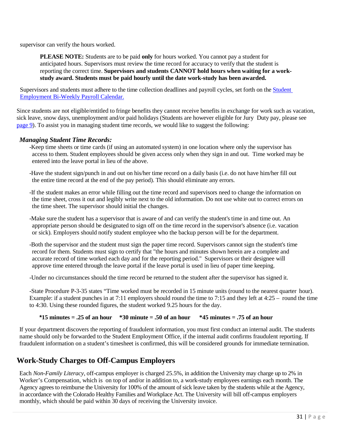supervisor can verify the hours worked.

**PLEASE NOTE:** Students are to be paid **only** for hours worked. You cannot pay a student for anticipated hours. Supervisors must review the time record for accuracy to verify that the student is reporting the correct time. **Supervisors and students CANNOT hold hours when waiting for a workstudy award. Students must be paid hourly until the date work-study has been awarded.**

Supervisors and students must adhere to the time collection deadlines and payroll cycles, set forth on the [Student](http://www.ucdenver.edu/student-services/resources/CostsAndFinancing/FASO/Do/StudentEmployment/Documents/2019-2020/2019-2020%20Student%20Employment%20Bi-Weekly%20Payroll%20Calendar.pdf) [Employment Bi-Weekly Payroll Calendar.](http://www.ucdenver.edu/student-services/resources/CostsAndFinancing/FASO/Do/StudentEmployment/Documents/2019-2020/2019-2020%20Student%20Employment%20Bi-Weekly%20Payroll%20Calendar.pdf)

Since students are not eligible/entitled to fringe benefits they cannot receive benefits in exchange for work such as vacation, sick leave, snow days, unemployment and/or paid holidays (Students are however eligible for Jury Duty pay, please see page 9). To assist you in managing student time records, we would like to suggest the following:

#### *Managing Student Time Records:*

-Keep time sheets or time cards (if using an automated system) in one location where only the supervisor has access to them. Student employees should be given access only when they sign in and out. Time worked may be entered into the leave portal in lieu of the above.

-Have the student sign/punch in and out on his/her time record on a daily basis (i.e. do not have him/her fill out the entire time record at the end of the pay period). This should eliminate any errors.

-If the student makes an error while filling out the time record and supervisors need to change the information on the time sheet, cross it out and legibly write next to the old information. Do not use white out to correct errors on the time sheet. The supervisor should initial the changes.

-Make sure the student has a supervisor that is aware of and can verify the student's time in and time out. An appropriate person should be designated to sign off on the time record in the supervisor's absence (i.e. vacation or sick). Employers should notify student employee who the backup person will be for the department.

-Both the supervisor and the student must sign the paper time record. Supervisors cannot sign the student's time record for them. Students must sign to certify that "the hours and minutes shown herein are a complete and accurate record of time worked each day and for the reporting period." Supervisors or their designee will approve time entered through the leave portal if the leave portal is used in lieu of paper time keeping.

-Under no circumstances should the time record be returned to the student after the supervisor has signed it.

-State Procedure P-3-35 states "Time worked must be recorded in 15 minute units (round to the nearest quarter hour). Example: if a student punches in at 7:11 employers should round the time to 7:15 and they left at 4:25 – round the time to 4:30. Using these rounded figures, the student worked 9.25 hours for the day.

#### **\*15 minutes = .25 of an hour \*30 minute = .50 of an hour \*45 minutes = .75 of an hour**

If your department discovers the reporting of fraudulent information, you must first conduct an internal audit. The students name should only be forwarded to the Student Employment Office, if the internal audit confirms fraudulent reporting. If fraudulent information on a student's timesheet is confirmed, this will be considered grounds for immediate termination.

# <span id="page-31-0"></span>**Work-Study Charges to Off-Campus Employers**

Each *Non-Family Literacy*, off-campus employer is charged 25.5%, in addition the University may charge up to 2% in Worker's Compensation, which is on top of and/or in addition to, a work-study employees earnings each month. The Agency agrees to reimburse the University for 100% of the amount of sick leave taken by the students while at the Agency, in accordance with the Colorado Healthy Families and Workplace Act. The University will bill off-campus employers monthly, which should be paid within 30 days of receiving the University invoice.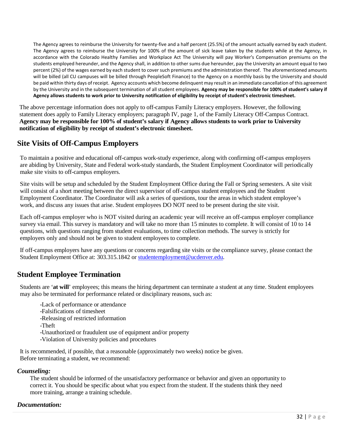The Agency agrees to reimburse the University for twenty-five and a half percent (25.5%) of the amount actually earned by each student. The Agency agrees to reimburse the University for 100% of the amount of sick leave taken by the students while at the Agency, in accordance with the Colorado Healthy Families and Workplace Act The University will pay Worker's Compensation premiums on the students employed hereunder, and the Agency shall, in addition to other sums due hereunder, pay the University an amount equal to two percent (2%) of the wages earned by each student to cover such premiums and the administration thereof. The aforementioned amounts will be billed (all CU campuses will be billed through PeopleSoft Finance) to the Agency on a monthly basis by the University and should be paid within thirty days of receipt. Agency accounts which become delinquent may result in an immediate cancellation of this agreement by the University and in the subsequent termination of all student employees. **Agency may be responsible for 100% of student's salary if Agency allows students to work prior to University notification of eligibility by receipt of student's electronic timesheet.**

The above percentage information does not apply to off-campus Family Literacy employers. However, the following statement does apply to Family Literacy employers; paragraph IV, page 1, of the Family Literacy Off-Campus Contract. **Agency may be responsible for 100% of student's salary if Agency allows students to work prior to University notification of eligibility by receipt of student's electronic timesheet.**

# **Site Visits of Off-Campus Employers**

To maintain a positive and educational off-campus work-study experience, along with confirming off-campus employers are abiding by University, State and Federal work-study standards, the Student Employment Coordinator will periodically make site visits to off-campus employers.

Site visits will be setup and scheduled by the Student Employment Office during the Fall or Spring semesters. A site visit will consist of a short meeting between the direct supervisor of off-campus student employees and the Student Employment Coordinator. The Coordinator will ask a series of questions, tour the areas in which student employee's work, and discuss any issues that arise. Student employees DO NOT need to be present during the site visit.

Each off-campus employer who is NOT visited during an academic year will receive an off-campus employer compliance survey via email. This survey is mandatory and will take no more than 15 minutes to complete. It will consist of 10 to 14 questions, with questions ranging from student evaluations, to time collection methods. The survey is strictly for employers only and should not be given to student employees to complete.

If off-campus employers have any questions or concerns regarding site visits or the compliance survey, please contact the Student Employment Office at: 303.315.1842 or [studentemployment@ucdenver.edu.](mailto:studentemployment@ucdenver.edu)

# <span id="page-32-0"></span>**Student Employee Termination**

Students are '**at will**' employees; this means the hiring department can terminate a student at any time. Student employees may also be terminated for performance related or disciplinary reasons, such as:

- -Lack of performance or attendance
- -Falsifications of timesheet
- -Releasing of restricted information
- -Theft
- -Unauthorized or fraudulent use of equipment and/or property
- -Violation of University policies and procedures

It is recommended, if possible, that a reasonable (approximately two weeks) notice be given. Before terminating a student, we recommend:

## *Counseling:*

The student should be informed of the unsatisfactory performance or behavior and given an opportunity to correct it. You should be specific about what you expect from the student. If the students think they need more training, arrange a training schedule.

## *Documentation:*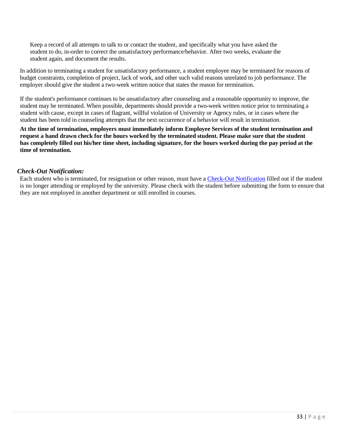Keep a record of all attempts to talk to or contact the student, and specifically what you have asked the student to do, in-order to correct the unsatisfactory performance/behavior. After two weeks, evaluate the student again, and document the results.

In addition to terminating a student for unsatisfactory performance, a student employee may be terminated for reasons of budget constraints, completion of project, lack of work, and other such valid reasons unrelated to job performance. The employer should give the student a two-week written notice that states the reason for termination.

If the student's performance continues to be unsatisfactory after counseling and a reasonable opportunity to improve, the student may be terminated. When possible, departments should provide a two-week written notice prior to terminating a student with cause, except in cases of flagrant, willful violation of University or Agency rules, or in cases where the student has been told in counseling attempts that the next occurrence of a behavior will result in termination.

**At the time of termination, employers must immediately inform Employee Services of the student termination and**  request a hand drawn check for the hours worked by the terminated student. Please make sure that the student **has completely filled out his/her time sheet, including signature, for the hours worked during the pay period at the time of termination.**

#### *Check-Out Notification:*

Each student who is terminated, for resignation or other reason, must have a [Check-Out Notification](http://www.ucdenver.edu/about/departments/HR/resourcesforemployees/employeecategories/Pages/studentworkers.aspx) filled out if the student is no longer attending or employed by the university. Please check with the student before submitting the form to ensure that they are not employed in another department or still enrolled in courses.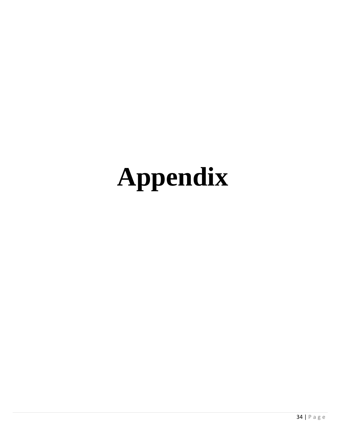# <span id="page-34-2"></span><span id="page-34-1"></span><span id="page-34-0"></span>**Appendix**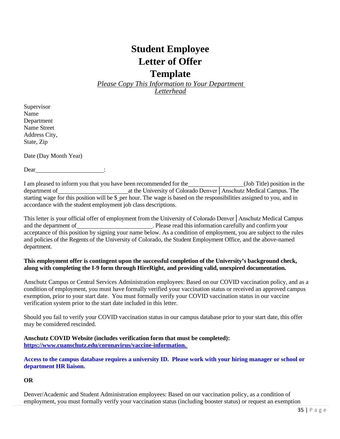# **Student Employee Letter of Offer**

**Template** *Please Copy This Information to Your Department* 

*Letterhead*

<span id="page-35-0"></span>Supervisor Name Department Name Street Address City, State, Zip

Date (Day Month Year)

Dear :

I am pleased to inform you that you have been recommended for the (Job Title) position in the department of at the University of Colorado Denver│Anschutz Medical Campus. The starting wage for this position will be \$\_per hour. The wage is based on the responsibilities assigned to you, and in accordance with the student employment job class descriptions.

This letter is your official offer of employment from the University of Colorado Denver│Anschutz Medical Campus and the department of *Department* of *Please read this information carefully and confirm your* acceptance of this position by signing your name below. As a condition of employment, you are subject to the rules and policies of the Regents of the University of Colorado, the Student Employment Office, and the above-named department.

#### **This employment offer is contingent upon the successful completion of the University's background check, along with completing the I-9 form through HireRight, and providing valid, unexpired documentation.**

Anschutz Campus or Central Services Administration employees: Based on our COVID vaccination policy, and as a condition of employment, you must have formally verified your vaccination status or received an approved campus exemption, prior to your start date. You must formally verify your COVID vaccination status in our vaccine verification system prior to the start date included in this letter.

Should you fail to verify your COVID vaccination status in our campus database prior to your start date, this offer may be considered rescinded.

**Anschutz COVID Website (includes verification form that must be completed): [https://www.cuanschutz.edu/coronavirus/vaccine-information.](https://www.cuanschutz.edu/coronavirus/vaccine-information)** 

**Access to the campus database requires a university ID. Please work with your hiring manager or school or department HR liaison.** 

#### **OR**

Denver/Academic and Student Administration employees: Based on our vaccination policy, as a condition of employment, you must formally verify your vaccination status (including booster status) or request an exemption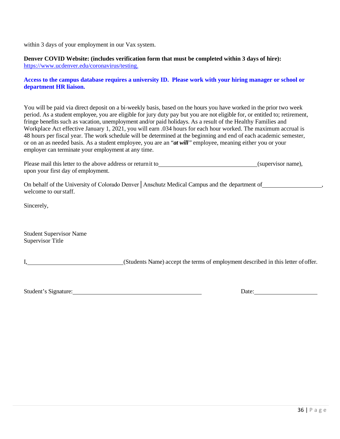within 3 days of your employment in our Vax system.

**Denver COVID Website: (includes verification form that must be completed within 3 days of hire):**  [https://www.ucdenver.edu/coronavirus/testing.](https://www.ucdenver.edu/coronavirus/testing)

#### **Access to the campus database requires a university ID. Please work with your hiring manager or school or department HR liaison.**

You will be paid via direct deposit on a bi-weekly basis, based on the hours you have worked in the prior two week period. As a student employee, you are eligible for jury duty pay but you are not eligible for, or entitled to; retirement, fringe benefits such as vacation, unemployment and/or paid holidays. As a result of the Healthy Families and Workplace Act effective January 1, 2021, you will earn .034 hours for each hour worked. The maximum accrual is 48 hours per fiscal year. The work schedule will be determined at the beginning and end of each academic semester, or on an as needed basis. As a student employee, you are an "*at will"* employee, meaning either you or your employer can terminate your employment at any time.

| Please mail this letter to the above address or return it to | (supervisor name), |
|--------------------------------------------------------------|--------------------|
| upon your first day of employment.                           |                    |

On behalf of the University of Colorado Denver│Anschutz Medical Campus and the department of , welcome to ourstaff.

Sincerely,

Student Supervisor Name Supervisor Title

I, (Students Name) accept the terms of employment described in this letter ofoffer.

Student's Signature: Date: Date: Date: Date: Date: Date: Date: Date: Date: Date: Date: Date: Date: Date: Date: Date: Date: Date: Date: Date: Date: Date: Date: Date: Date: Date: Date: Date: Date: Date: Date: Date: Date: Dat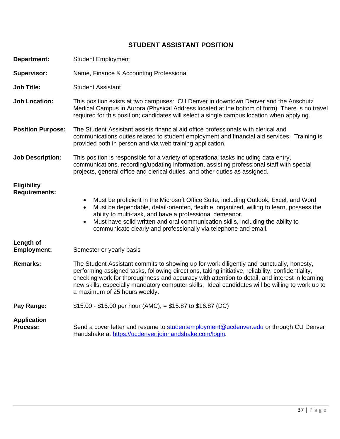# **STUDENT ASSISTANT POSITION**

| Department:                                | <b>Student Employment</b>                                                                                                                                                                                                                                                                                                                                                                                                            |
|--------------------------------------------|--------------------------------------------------------------------------------------------------------------------------------------------------------------------------------------------------------------------------------------------------------------------------------------------------------------------------------------------------------------------------------------------------------------------------------------|
| <b>Supervisor:</b>                         | Name, Finance & Accounting Professional                                                                                                                                                                                                                                                                                                                                                                                              |
| <b>Job Title:</b>                          | <b>Student Assistant</b>                                                                                                                                                                                                                                                                                                                                                                                                             |
| <b>Job Location:</b>                       | This position exists at two campuses: CU Denver in downtown Denver and the Anschutz<br>Medical Campus in Aurora (Physical Address located at the bottom of form). There is no travel<br>required for this position; candidates will select a single campus location when applying.                                                                                                                                                   |
| <b>Position Purpose:</b>                   | The Student Assistant assists financial aid office professionals with clerical and<br>communications duties related to student employment and financial aid services. Training is<br>provided both in person and via web training application.                                                                                                                                                                                       |
| <b>Job Description:</b>                    | This position is responsible for a variety of operational tasks including data entry,<br>communications, recording/updating information, assisting professional staff with special<br>projects, general office and clerical duties, and other duties as assigned.                                                                                                                                                                    |
| <b>Eligibility</b><br><b>Requirements:</b> | Must be proficient in the Microsoft Office Suite, including Outlook, Excel, and Word<br>$\bullet$<br>Must be dependable, detail-oriented, flexible, organized, willing to learn, possess the<br>ability to multi-task, and have a professional demeanor.<br>Must have solid written and oral communication skills, including the ability to<br>$\bullet$<br>communicate clearly and professionally via telephone and email.          |
| Length of                                  |                                                                                                                                                                                                                                                                                                                                                                                                                                      |
| <b>Employment:</b>                         | Semester or yearly basis                                                                                                                                                                                                                                                                                                                                                                                                             |
| <b>Remarks:</b>                            | The Student Assistant commits to showing up for work diligently and punctually, honesty,<br>performing assigned tasks, following directions, taking initiative, reliability, confidentiality,<br>checking work for thoroughness and accuracy with attention to detail, and interest in learning<br>new skills, especially mandatory computer skills. Ideal candidates will be willing to work up to<br>a maximum of 25 hours weekly. |
| Pay Range:                                 | $$15.00 - $16.00$ per hour (AMC); = \$15.87 to \$16.87 (DC)                                                                                                                                                                                                                                                                                                                                                                          |
| <b>Application</b><br><b>Process:</b>      | Send a cover letter and resume to studentemployment@ucdenver.edu or through CU Denver<br>Handshake at https://ucdenver.joinhandshake.com/login.                                                                                                                                                                                                                                                                                      |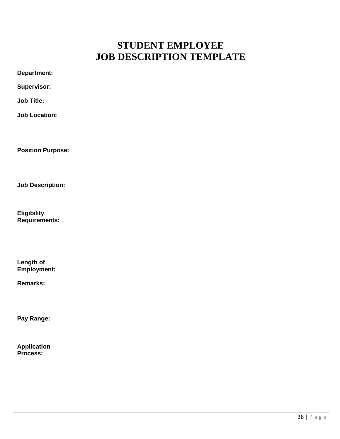# **STUDENT EMPLOYEE JOB DESCRIPTION TEMPLATE**

| Supervisor:                                |  |
|--------------------------------------------|--|
| <b>Job Title:</b>                          |  |
| <b>Job Location:</b>                       |  |
|                                            |  |
| <b>Position Purpose:</b>                   |  |
|                                            |  |
| <b>Job Description:</b>                    |  |
| <b>Eligibility</b><br><b>Requirements:</b> |  |
|                                            |  |
|                                            |  |

**Length of Employment:**

<span id="page-38-0"></span>**Department:** 

**Remarks:**

**Pay Range:**

**Application Process:**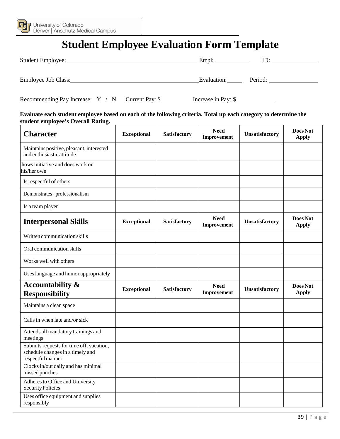<span id="page-39-0"></span>

# **Student Employee Evaluation Form Template**

| Student Employee:   | Empl:       | ID:     |
|---------------------|-------------|---------|
| Employee Job Class: | Evaluation: | Period: |

Recommending Pay Increase: Y / N Current Pay: \$\_\_\_\_\_\_\_\_\_\_\_\_\_\_\_\_\_\_\_\_\_\_\_\_\_\_\_\_\_\_\_\_\_\_

**Evaluate each student employee based on each of the following criteria. Total up each category to determine the student employee's Overall Rating.**

| <b>Character</b>                                                                                  | <b>Exceptional</b> | <b>Satisfactory</b> | <b>Need</b><br>Improvement | Unsatisfactory | Does Not<br><b>Apply</b> |
|---------------------------------------------------------------------------------------------------|--------------------|---------------------|----------------------------|----------------|--------------------------|
| Maintains positive, pleasant, interested<br>and enthusiastic attitude                             |                    |                     |                            |                |                          |
| hows initiative and does work on<br>his/her own                                                   |                    |                     |                            |                |                          |
| Is respectful of others                                                                           |                    |                     |                            |                |                          |
| Demonstrates professionalism                                                                      |                    |                     |                            |                |                          |
| Is a team player                                                                                  |                    |                     |                            |                |                          |
| <b>Interpersonal Skills</b>                                                                       | <b>Exceptional</b> | <b>Satisfactory</b> | <b>Need</b><br>Improvement | Unsatisfactory | Does Not<br><b>Apply</b> |
| Written communication skills                                                                      |                    |                     |                            |                |                          |
| Oral communication skills                                                                         |                    |                     |                            |                |                          |
| Works well with others                                                                            |                    |                     |                            |                |                          |
| Uses language and humor appropriately                                                             |                    |                     |                            |                |                          |
| <b>Accountability &amp;</b><br><b>Responsibility</b>                                              | <b>Exceptional</b> | <b>Satisfactory</b> | <b>Need</b><br>Improvement | Unsatisfactory | Does Not<br><b>Apply</b> |
| Maintains a clean space                                                                           |                    |                     |                            |                |                          |
| Calls in when late and/or sick                                                                    |                    |                     |                            |                |                          |
| Attends all mandatory trainings and<br>meetings                                                   |                    |                     |                            |                |                          |
| Submits requests for time off, vacation,<br>schedule changes in a timely and<br>respectful manner |                    |                     |                            |                |                          |
| Clocks in/out daily and has minimal<br>missed punches                                             |                    |                     |                            |                |                          |
| Adheres to Office and University<br>Security Policies                                             |                    |                     |                            |                |                          |
| Uses office equipment and supplies<br>responsibly                                                 |                    |                     |                            |                |                          |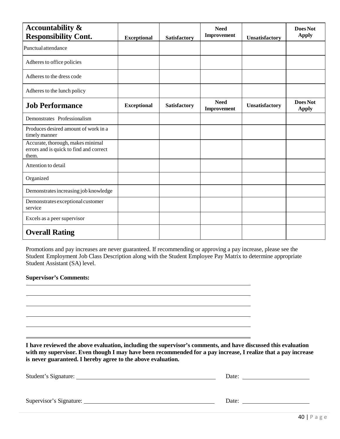| <b>Accountability &amp;</b><br><b>Responsibility Cont.</b>                            |                    |                     | <b>Need</b><br>Improvement |                | Does Not<br><b>Apply</b> |
|---------------------------------------------------------------------------------------|--------------------|---------------------|----------------------------|----------------|--------------------------|
| Punctual attendance                                                                   | <b>Exceptional</b> | <b>Satisfactory</b> |                            | Unsatisfactory |                          |
| Adheres to office policies                                                            |                    |                     |                            |                |                          |
| Adheres to the dress code                                                             |                    |                     |                            |                |                          |
| Adheres to the lunch policy                                                           |                    |                     |                            |                |                          |
| <b>Job Performance</b>                                                                | <b>Exceptional</b> | <b>Satisfactory</b> | <b>Need</b><br>Improvement | Unsatisfactory | Does Not<br><b>Apply</b> |
| Demonstrates Professionalism                                                          |                    |                     |                            |                |                          |
| Produces desired amount of work in a<br>timely manner                                 |                    |                     |                            |                |                          |
| Accurate, thorough, makes minimal<br>errors and is quick to find and correct<br>them. |                    |                     |                            |                |                          |
| Attention to detail                                                                   |                    |                     |                            |                |                          |
| Organized                                                                             |                    |                     |                            |                |                          |
| Demonstrates increasing job knowledge                                                 |                    |                     |                            |                |                          |
| Demonstrates exceptional customer<br>service                                          |                    |                     |                            |                |                          |
| Excels as a peer supervisor                                                           |                    |                     |                            |                |                          |
| <b>Overall Rating</b>                                                                 |                    |                     |                            |                |                          |

Promotions and pay increases are never guaranteed. If recommending or approving a pay increase, please see the Student Employment Job Class Description along with the Student Employee Pay Matrix to determine appropriate Student Assistant (SA) level.

#### **Supervisor's Comments:**

**I have reviewed the above evaluation, including the supervisor's comments, and have discussed this evaluation with my supervisor. Even though I may have been recommended for a pay increase, I realize that a pay increase is never guaranteed. I hereby agree to the above evaluation.**

| Student's Signature:    | Date: |  |
|-------------------------|-------|--|
|                         |       |  |
| Supervisor's Signature: | Date: |  |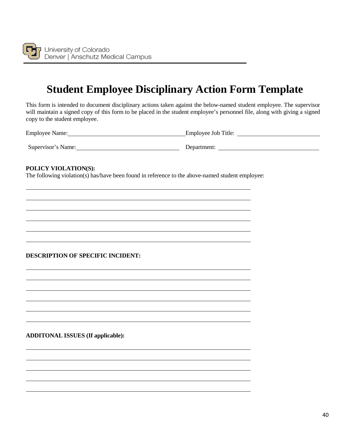

# **Student Employee Disciplinary Action Form Template**

<span id="page-41-0"></span>This form is intended to document disciplinary actions taken against the below-named student employee. The supervisor will maintain a signed copy of this form to be placed in the student employee's personnel file, along with giving a signed copy to the student employee.

Employee Name: Employee Job Title:

Supervisor's Name: Department:

#### **POLICY VIOLATION(S):**

The following violation(s) has/have been found in reference to the above-named student employee:

#### **DESCRIPTION OF SPECIFIC INCIDENT:**

**ADDITONAL ISSUES (If applicable):**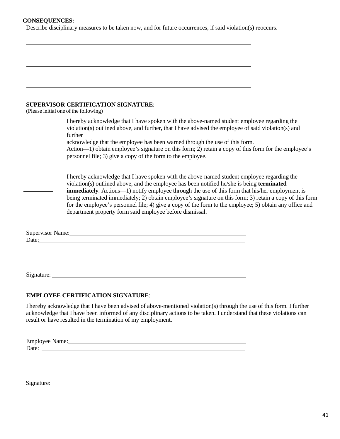#### **CONSEQUENCES:**

Describe disciplinary measures to be taken now, and for future occurrences, if said violation(s) reoccurs.

| <b>SUPERVISOR CERTIFICATION SIGNATURE:</b><br>(Please initial one of the following)                                                                                                                                                  |                                                                                                                                                                                                                                                                                                                                                                                                                                                                                                                             |
|--------------------------------------------------------------------------------------------------------------------------------------------------------------------------------------------------------------------------------------|-----------------------------------------------------------------------------------------------------------------------------------------------------------------------------------------------------------------------------------------------------------------------------------------------------------------------------------------------------------------------------------------------------------------------------------------------------------------------------------------------------------------------------|
| further                                                                                                                                                                                                                              | I hereby acknowledge that I have spoken with the above-named student employee regarding the<br>violation(s) outlined above, and further, that I have advised the employee of said violation(s) and                                                                                                                                                                                                                                                                                                                          |
|                                                                                                                                                                                                                                      | acknowledge that the employee has been warned through the use of this form.<br>Action-1) obtain employee's signature on this form; 2) retain a copy of this form for the employee's<br>personnel file; 3) give a copy of the form to the employee.                                                                                                                                                                                                                                                                          |
|                                                                                                                                                                                                                                      | I hereby acknowledge that I have spoken with the above-named student employee regarding the<br>violation(s) outlined above, and the employee has been notified he/she is being terminated<br><b>immediately</b> . Actions-1) notify employee through the use of this form that his/her employment is<br>being terminated immediately; 2) obtain employee's signature on this form; 3) retain a copy of this form<br>for the employee's personnel file; 4) give a copy of the form to the employee; 5) obtain any office and |
|                                                                                                                                                                                                                                      | department property form said employee before dismissal.                                                                                                                                                                                                                                                                                                                                                                                                                                                                    |
|                                                                                                                                                                                                                                      |                                                                                                                                                                                                                                                                                                                                                                                                                                                                                                                             |
| Supervisor Name: Manual Communication of the Supervisor Name:                                                                                                                                                                        |                                                                                                                                                                                                                                                                                                                                                                                                                                                                                                                             |
| Date: <u>the contract of the contract of the contract of the contract of the contract of the contract of the contract of the contract of the contract of the contract of the contract of the contract of the contract of the con</u> |                                                                                                                                                                                                                                                                                                                                                                                                                                                                                                                             |
|                                                                                                                                                                                                                                      |                                                                                                                                                                                                                                                                                                                                                                                                                                                                                                                             |
|                                                                                                                                                                                                                                      |                                                                                                                                                                                                                                                                                                                                                                                                                                                                                                                             |
| Signature:                                                                                                                                                                                                                           |                                                                                                                                                                                                                                                                                                                                                                                                                                                                                                                             |

#### **EMPLOYEE CERTIFICATION SIGNATURE**:

I hereby acknowledge that I have been advised of above-mentioned violation(s) through the use of this form. I further acknowledge that I have been informed of any disciplinary actions to be taken. I understand that these violations can result or have resulted in the termination of my employment.

Employee Name: Date:

Signature:

 $\overline{a}$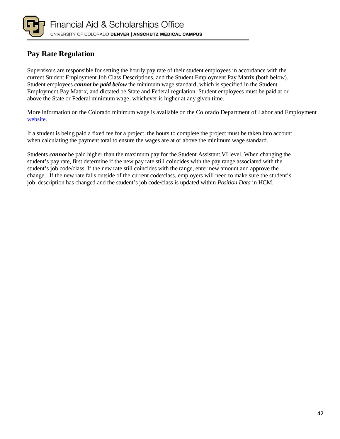

# <span id="page-43-0"></span>**Pay Rate Regulation**

Supervisors are responsible for setting the hourly pay rate of their student employees in accordance with the current Student Employment Job Class Descriptions, and the Student Employment Pay Matrix (both below). Student employees *cannot be paid below* the minimum wage standard, which is specified in the Student Employment Pay Matrix, and dictated be State and Federal regulation. Student employees must be paid at or above the State or Federal minimum wage, whichever is higher at any given time.

More information on the Colorado minimum wage is available on the Colorado Department of Labor and Employment [website.](https://www.colorado.gov/cdle)

If a student is being paid a fixed fee for a project, the hours to complete the project must be taken into account when calculating the payment total to ensure the wages are at or above the minimum wage standard.

Students *cannot* be paid higher than the maximum pay for the Student Assistant VI level. When changing the student's pay rate, first determine if the new pay rate still coincides with the pay range associated with the student's job code/class. If the new rate still coincides with the range, enter new amount and approve the change. If the new rate falls outside of the current code/class, employers will need to make sure the student's job description has changed and the student's job code/class is updated within *Position Data* in HCM.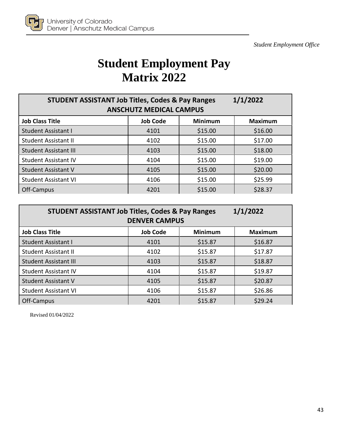

# **Student Employment Pay Matrix 2022**

<span id="page-44-0"></span>

| 1/1/2022<br><b>STUDENT ASSISTANT Job Titles, Codes &amp; Pay Ranges</b><br><b>ANSCHUTZ MEDICAL CAMPUS</b> |                 |                |                |  |
|-----------------------------------------------------------------------------------------------------------|-----------------|----------------|----------------|--|
| <b>Job Class Title</b>                                                                                    | <b>Job Code</b> | <b>Minimum</b> | <b>Maximum</b> |  |
| <b>Student Assistant I</b>                                                                                | 4101            | \$15.00        | \$16.00        |  |
| <b>Student Assistant II</b>                                                                               | 4102            | \$15.00        | \$17.00        |  |
| <b>Student Assistant III</b>                                                                              | 4103            | \$15.00        | \$18.00        |  |
| <b>Student Assistant IV</b>                                                                               | 4104            | \$15.00        | \$19.00        |  |
| <b>Student Assistant V</b>                                                                                | 4105            | \$15.00        | \$20.00        |  |
| <b>Student Assistant VI</b>                                                                               | 4106            | \$15.00        | \$25.99        |  |
| Off-Campus                                                                                                | 4201            | \$15.00        | \$28.37        |  |

| 1/1/2022<br><b>STUDENT ASSISTANT Job Titles, Codes &amp; Pay Ranges</b><br><b>DENVER CAMPUS</b> |                 |                |                |  |
|-------------------------------------------------------------------------------------------------|-----------------|----------------|----------------|--|
| <b>Job Class Title</b>                                                                          | <b>Job Code</b> | <b>Minimum</b> | <b>Maximum</b> |  |
| <b>Student Assistant I</b>                                                                      | 4101            | \$15.87        | \$16.87        |  |
| <b>Student Assistant II</b>                                                                     | 4102            | \$15.87        | \$17.87        |  |
| <b>Student Assistant III</b>                                                                    | 4103            | \$15.87        | \$18.87        |  |
| <b>Student Assistant IV</b>                                                                     | 4104            | \$15.87        | \$19.87        |  |
| <b>Student Assistant V</b>                                                                      | 4105            | \$15.87        | \$20.87        |  |
| <b>Student Assistant VI</b>                                                                     | 4106            | \$15.87        | \$26.86        |  |
| Off-Campus                                                                                      | 4201            | \$15.87        | \$29.24        |  |

Revised 01/04/2022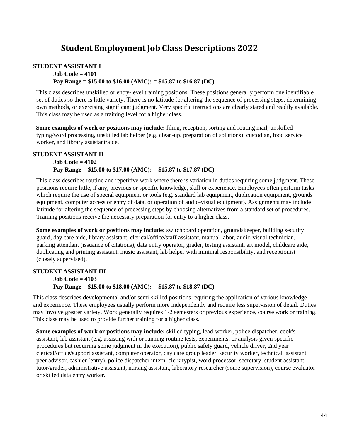# **Student Employment Job Class Descriptions 2022**

#### <span id="page-45-0"></span>**STUDENT ASSISTANT I Job Code = 4101 Pay Range = \$15.00 to \$16.00 (AMC); = \$15.87 to \$16.87 (DC)**

This class describes unskilled or entry-level training positions. These positions generally perform one identifiable set of duties so there is little variety. There is no latitude for altering the sequence of processing steps, determining own methods, or exercising significant judgment. Very specific instructions are clearly stated and readily available. This class may be used as a training level for a higher class.

**Some examples of work or positions may include:** filing, reception, sorting and routing mail, unskilled typing/word processing, unskilled lab helper (e.g. clean-up, preparation of solutions), custodian, food service worker, and library assistant/aide.

#### **STUDENT ASSISTANT II**

#### **Job Code = 4102**

#### **Pay Range = \$15.00 to \$17.00 (AMC); = \$15.87 to \$17.87 (DC)**

This class describes routine and repetitive work where there is variation in duties requiring some judgment. These positions require little, if any, previous or specific knowledge, skill or experience. Employees often perform tasks which require the use of special equipment or tools (e.g. standard lab equipment, duplication equipment, grounds equipment, computer access or entry of data, or operation of audio-visual equipment). Assignments may include latitude for altering the sequence of processing steps by choosing alternatives from a standard set of procedures. Training positions receive the necessary preparation for entry to a higher class.

**Some examples of work or positions may include:** switchboard operation, groundskeeper, building security guard, day care aide, library assistant, clerical/office/staff assistant, manual labor, audio-visual technician, parking attendant (issuance of citations), data entry operator, grader, testing assistant, art model, childcare aide, duplicating and printing assistant, music assistant, lab helper with minimal responsibility, and receptionist (closely supervised).

#### **STUDENT ASSISTANT III Job Code = 4103 Pay Range = \$15.00 to \$18.00 (AMC); = \$15.87 to \$18.87 (DC)**

This class describes developmental and/or semi-skilled positions requiring the application of various knowledge and experience. These employees usually perform more independently and require less supervision of detail. Duties may involve greater variety. Work generally requires 1-2 semesters or previous experience, course work or training. This class may be used to provide further training for a higher class.

**Some examples of work or positions may include:** skilled typing, lead-worker, police dispatcher, cook's assistant, lab assistant (e.g. assisting with or running routine tests, experiments, or analysis given specific procedures but requiring some judgment in the execution), public safety guard, vehicle driver, 2nd year clerical/office/support assistant, computer operator, day care group leader, security worker, technical assistant, peer advisor, cashier (entry), police dispatcher intern, clerk typist, word processor, secretary, student assistant, tutor/grader, administrative assistant, nursing assistant, laboratory researcher (some supervision), course evaluator or skilled data entry worker.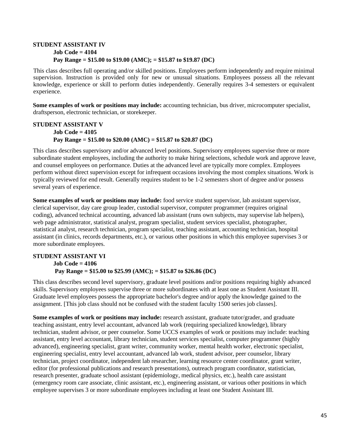#### **STUDENT ASSISTANT IV Job Code = 4104 Pay Range = \$15.00 to \$19.00 (AMC); = \$15.87 to \$19.87 (DC)**

This class describes full operating and/or skilled positions. Employees perform independently and require minimal supervision. Instruction is provided only for new or unusual situations. Employees possess all the relevant knowledge, experience or skill to perform duties independently. Generally requires 3-4 semesters or equivalent experience.

**Some examples of work or positions may include:** accounting technician, bus driver, microcomputer specialist, draftsperson, electronic technician, or storekeeper.

#### **STUDENT ASSISTANT V Job Code = 4105 Pay Range = \$15.00 to \$20.00 (AMC) = \$15.87 to \$20.87 (DC)**

This class describes supervisory and/or advanced level positions. Supervisory employees supervise three or more subordinate student employees, including the authority to make hiring selections, schedule work and approve leave, and counsel employees on performance. Duties at the advanced level are typically more complex. Employees perform without direct supervision except for infrequent occasions involving the most complex situations. Work is typically reviewed for end result. Generally requires student to be 1-2 semesters short of degree and/or possess several years of experience.

**Some examples of work or positions may include:** food service student supervisor, lab assistant supervisor, clerical supervisor, day care group leader, custodial supervisor, computer programmer (requires original coding), advanced technical accounting, advanced lab assistant (runs own subjects, may supervise lab helpers), web page administrator, statistical analyst, program specialist, student services specialist, photographer, statistical analyst, research technician, program specialist, teaching assistant, accounting technician, hospital assistant (in clinics, records departments, etc.), or various other positions in which this employee supervises 3 or more subordinate employees.

#### **STUDENT ASSISTANT VI Job Code = 4106 Pay Range = \$15.00 to \$25.99 (AMC); = \$15.87 to \$26.86 (DC)**

This class describes second level supervisory, graduate level positions and/or positions requiring highly advanced skills. Supervisory employees supervise three or more subordinates with at least one as Student Assistant III. Graduate level employees possess the appropriate bachelor's degree and/or apply the knowledge gained to the assignment. [This job class should not be confused with the student faculty 1500 series job classes].

**Some examples of work or positions may include:** research assistant, graduate tutor/grader, and graduate teaching assistant, entry level accountant, advanced lab work (requiring specialized knowledge), library technician, student advisor, or peer counselor. Some UCCS examples of work or positions may include: teaching assistant, entry level accountant, library technician, student services specialist, computer programmer (highly advanced), engineering specialist, grant writer, community worker, mental health worker, electronic specialist, engineering specialist, entry level accountant, advanced lab work, student advisor, peer counselor, library technician, project coordinator, independent lab researcher, learning resource center coordinator, grant writer, editor (for professional publications and research presentations), outreach program coordinator, statistician, research presenter, graduate school assistant (epidemiology, medical physics, etc.), health care assistant (emergency room care associate, clinic assistant, etc.), engineering assistant, or various other positions in which employee supervises 3 or more subordinate employees including at least one Student Assistant III.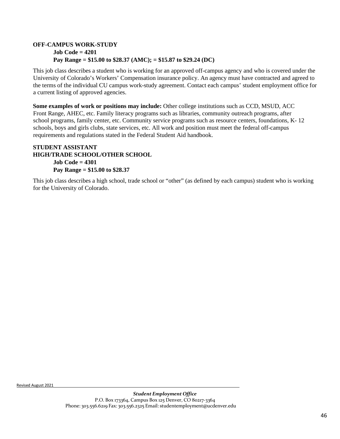#### **OFF-CAMPUS WORK-STUDY Job Code = 4201 Pay Range = \$15.00 to \$28.37 (AMC); = \$15.87 to \$29.24 (DC)**

This job class describes a student who is working for an approved off-campus agency and who is covered under the University of Colorado's Workers' Compensation insurance policy. An agency must have contracted and agreed to the terms of the individual CU campus work-study agreement. Contact each campus' student employment office for a current listing of approved agencies.

**Some examples of work or positions may include:** Other college institutions such as CCD, MSUD, ACC Front Range, AHEC, etc. Family literacy programs such as libraries, community outreach programs, after school programs, family center, etc. Community service programs such as resource centers, foundations, K- 12 schools, boys and girls clubs, state services, etc. All work and position must meet the federal off-campus requirements and regulations stated in the Federal Student Aid handbook.

#### **STUDENT ASSISTANT HIGH/TRADE SCHOOL/OTHER SCHOOL Job Code = 4301**

**Pay Range = \$15.00 to \$28.37** 

This job class describes a high school, trade school or "other" (as defined by each campus) student who is working for the University of Colorado.

Revised August 2021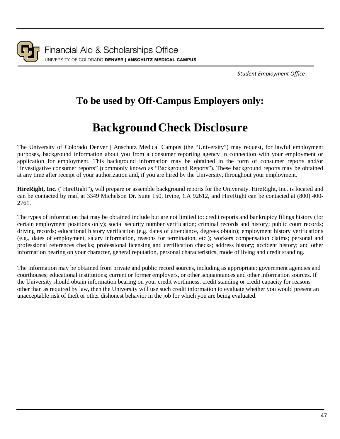

*Student Employment Office*

# **To be used by Off-Campus Employers only:**

# **BackgroundCheck Disclosure**

<span id="page-48-0"></span>The University of Colorado Denver | Anschutz Medical Campus (the "University") may request, for lawful employment purposes, background information about you from a consumer reporting agency in connection with your employment or application for employment. This background information may be obtained in the form of consumer reports and/or "investigative consumer reports" (commonly known as "Background Reports"). These background reports may be obtained at any time after receipt of your authorization and, if you are hired by the University, throughout your employment.

**HireRight, Inc.** ("HireRight"), will prepare or assemble background reports for the University. HireRight, Inc. is located and can be contacted by mail at 3349 Michelson Dr. Suite 150, Irvine, CA 92612, and HireRight can be contacted at (800) 400- 2761.

The types of information that may be obtained include but are not limited to: credit reports and bankruptcy filings history (for certain employment positions only); social security number verification; criminal records and history; public court records; driving records; educational history verification (e.g. dates of attendance, degrees obtain); employment history verifications (e.g., dates of employment, salary information, reasons for termination, etc.); workers compensation claims; personal and professional references checks; professional licensing and certification checks; address history; accident history; and other information bearing on your character, general reputation, personal characteristics, mode of living and credit standing.

The information may be obtained from private and public record sources, including as appropriate: government agencies and courthouses; educational institutions; current or former employers, or other acquaintances and other information sources. If the University should obtain information bearing on your credit worthiness, credit standing or credit capacity for reasons other than as required by law, then the University will use such credit information to evaluate whether you would present an unacceptable risk of theft or other dishonest behavior in the job for which you are being evaluated.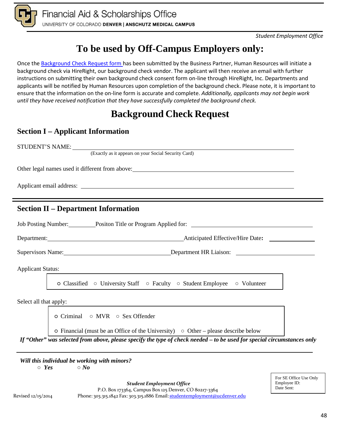

# **To be used by Off-Campus Employers only:**

Once the Background [Check Request form h](https://forms.ucdenver.edu/secure/background_check_request)as been submitted by the Business Partner, Human Resources will initiate a background check via HireRight, our background check vendor. The applicant will then receive an email with further instructions on submitting their own background check consent form on-line through HireRight, Inc. Departments and applicants will be notified by Human Resources upon completion of the background check. Please note, it is important to ensure that the information on the on-line form is accurate and complete. *Additionally, applicants may not begin work until they have received notification that they have successfully completed the background check.*

# **Background Check Request**

# **Section I – Applicant Information**

STUDENT'S NAME: (Exactly as it appears on your Social Security Card) Other legal names used it different from above: Applicant email address: **Section II – Department Information** Job Posting Number: Positon Title or Program Applied for: Department: Anticipated Effective/Hire Date**:**  Supervisors Name: <u>Department HR Liaison:</u> Applicant Status: ○ Classified ○ University Staff ○ Faculty ○ Student Employee ○ Volunteer Select all that apply: ○ Criminal ○ MVR ○ Sex Offender  $\circ$  Financial (must be an Office of the University)  $\circ$  Other – please describe below

*If "Other" was selected from above, please specify the type of check needed – to be used for special circumstances only*

*Will this individual be working with minors?*

○ *Yes* ○ *No*

For SE Office Use Only Employee ID: Date Sent:

*Student Employment Office* P.O. Box 173364, Campus Box 125 Denver, CO 80217-3364 Revised 12/15/2014 Phone: 303.315.1842 Fax: 303.315.1886 Email: [studentemployment@ucdenver.edu](mailto:studentemployment@ucdenver.edu)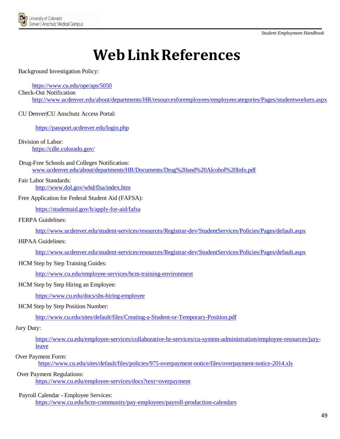

# **WebLinkReferences**

#### <span id="page-50-0"></span>Background Investigation Policy:

#### https://www.cu.edu/ope/aps/5050

#### Check-Out Notification

<http://www.ucdenver.edu/about/departments/HR/resourcesforemployees/employeecategories/Pages/studentworkers.aspx>

CU Denver|CU Anschutz Access Portal:

#### <https://passport.ucdenver.edu/login.php>

Division of Labor:

<https://cdle.colorado.gov/>

#### Drug-Free Schools and Colleges Notification: www.ucdenver.edu/about/departments/HR/Documents/Drug%20and%20Alcohol%20Info.pdf

#### Fair Labor Standards: <http://www.dol.gov/whd/flsa/index.htm>

#### Free Application for Federal Student Aid (FAFSA):

<https://studentaid.gov/h/apply-for-aid/fafsa>

#### FERPA Guidelines:

<http://www.ucdenver.edu/student-services/resources/Registrar-dev/StudentServices/Policies/Pages/default.aspx>

#### HIPAA Guidelines:

<http://www.ucdenver.edu/student-services/resources/Registrar-dev/StudentServices/Policies/Pages/default.aspx>

#### HCM Step by Step Training Guides:

[http://www.cu.edu/employee-services/hcm-training-environment](http://www.cu.edu/hcm-community/hcm-access-training)

#### HCM Step by Step Hiring an Employee:

<https://www.cu.edu/docs/sbs-hiring-employee>

#### HCM Step by Step Position Number:

<http://www.cu.edu/sites/default/files/Creating-a-Student-or-Temporary-Position.pdf>

#### Jury Duty:

[https://www.cu.edu/employee-services/collaborative-hr-services/cu-system-administration/employee-resources/jury](https://www.cu.edu/employee-services/collaborative-hr-services/cu-system-administration/employee-resources/jury-leave)[leave](https://www.cu.edu/employee-services/collaborative-hr-services/cu-system-administration/employee-resources/jury-leave)

#### Over Payment Form:

<https://www.cu.edu/sites/default/files/policies/975-overpayment-notice/files/overpayment-notice-2014.xls>

#### Over Payment Regulations: <https://www.cu.edu/employee-services/docs?text=overpayment>

#### Payroll Calendar - Employee Services:

https://www.cu.edu/hcm-community/pay-employees/payroll-production-calendars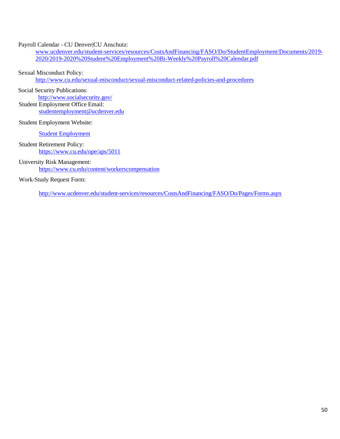#### Payroll Calendar - CU Denver|CU Anschutz:

www.ucdenver.edu/student-services/resources/CostsAndFinancing/FASO/Do/StudentEmployment/Documents/2019- 2020/2019-2020%20Student%20Employment%20Bi-Weekly%20Payroll%20Calendar.pdf

#### Sexual Misconduct Policy:

http://www.cu.edu/sexual-misconduct/sexual-misconduct-related-policies-and-procedures

Social Security Publications:

<http://www.socialsecurity.gov/>

Student Employment Office Email: [studentemployment@ucdenver.edu](mailto:studentemployment@ucdenver.edu)

Student Employment Website:

[Student Employment](http://www.ucdenver.edu/student-services/resources/CostsAndFinancing/FASO/Do/StudentEmployment/Pages/StudentEmployment.aspx)

Student Retirement Policy: <https://www.cu.edu/ope/aps/5011>

University Risk Management: <https://www.cu.edu/content/workerscompensation>

#### Work-Study Request Form:

http://www.ucdenver.edu/student-services/resources/CostsAndFinancing/FASO/Do/Pages/Forms.aspx